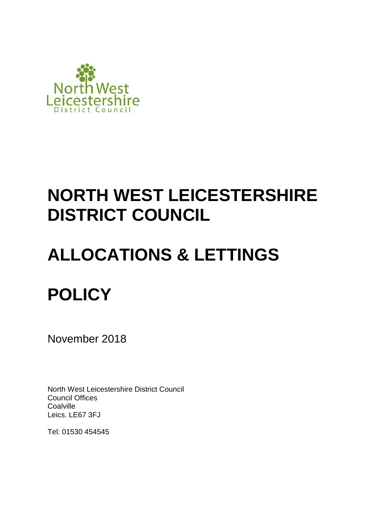

# **NORTH WEST LEICESTERSHIRE DISTRICT COUNCIL**

# **ALLOCATIONS & LETTINGS POLICY**

November 2018

North West Leicestershire District Council Council Offices **Coalville** Leics. LE67 3FJ

Tel: 01530 454545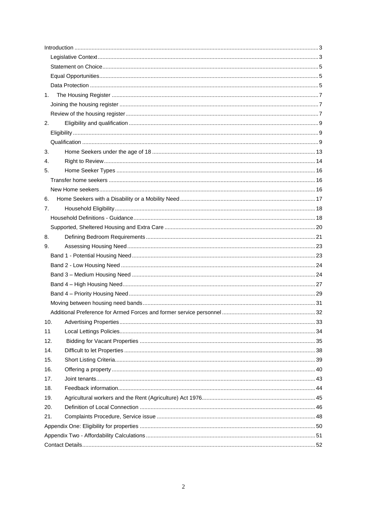| 1.  |  |  |  |  |
|-----|--|--|--|--|
|     |  |  |  |  |
|     |  |  |  |  |
| 2.  |  |  |  |  |
|     |  |  |  |  |
|     |  |  |  |  |
| 3.  |  |  |  |  |
| 4.  |  |  |  |  |
| 5.  |  |  |  |  |
|     |  |  |  |  |
|     |  |  |  |  |
| 6.  |  |  |  |  |
| 7.  |  |  |  |  |
|     |  |  |  |  |
|     |  |  |  |  |
| 8.  |  |  |  |  |
| 9.  |  |  |  |  |
|     |  |  |  |  |
|     |  |  |  |  |
|     |  |  |  |  |
|     |  |  |  |  |
|     |  |  |  |  |
|     |  |  |  |  |
|     |  |  |  |  |
| 10. |  |  |  |  |
| 11  |  |  |  |  |
| 12. |  |  |  |  |
| 14. |  |  |  |  |
| 15. |  |  |  |  |
| 16. |  |  |  |  |
| 17. |  |  |  |  |
| 18. |  |  |  |  |
| 19. |  |  |  |  |
| 20. |  |  |  |  |
| 21. |  |  |  |  |
|     |  |  |  |  |
|     |  |  |  |  |
|     |  |  |  |  |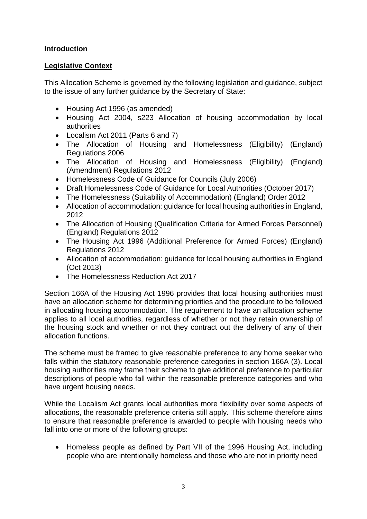# <span id="page-2-0"></span>**Introduction**

# <span id="page-2-1"></span>**Legislative Context**

This Allocation Scheme is governed by the following legislation and guidance, subject to the issue of any further guidance by the Secretary of State:

- Housing Act 1996 (as amended)
- Housing Act 2004, s223 Allocation of housing accommodation by local authorities
- Localism Act 2011 (Parts 6 and 7)
- The Allocation of Housing and Homelessness (Eligibility) (England) Regulations 2006
- The Allocation of Housing and Homelessness (Eligibility) (England) (Amendment) Regulations 2012
- Homelessness Code of Guidance for Councils (July 2006)
- Draft Homelessness Code of Guidance for Local Authorities (October 2017)
- The Homelessness (Suitability of Accommodation) (England) Order 2012
- Allocation of accommodation: guidance for local housing authorities in England, 2012
- The Allocation of Housing (Qualification Criteria for Armed Forces Personnel) (England) Regulations 2012
- The Housing Act 1996 (Additional Preference for Armed Forces) (England) Regulations 2012
- Allocation of accommodation: guidance for local housing authorities in England (Oct 2013)
- The Homelessness Reduction Act 2017

Section 166A of the Housing Act 1996 provides that local housing authorities must have an allocation scheme for determining priorities and the procedure to be followed in allocating housing accommodation. The requirement to have an allocation scheme applies to all local authorities, regardless of whether or not they retain ownership of the housing stock and whether or not they contract out the delivery of any of their allocation functions.

The scheme must be framed to give reasonable preference to any home seeker who falls within the statutory reasonable preference categories in section 166A (3). Local housing authorities may frame their scheme to give additional preference to particular descriptions of people who fall within the reasonable preference categories and who have urgent housing needs.

While the Localism Act grants local authorities more flexibility over some aspects of allocations, the reasonable preference criteria still apply. This scheme therefore aims to ensure that reasonable preference is awarded to people with housing needs who fall into one or more of the following groups:

• Homeless people as defined by Part VII of the 1996 Housing Act, including people who are intentionally homeless and those who are not in priority need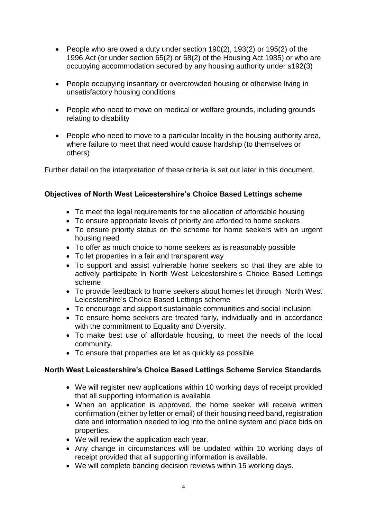- People who are owed a duty under section 190(2), 193(2) or 195(2) of the 1996 Act (or under section 65(2) or 68(2) of the Housing Act 1985) or who are occupying accommodation secured by any housing authority under s192(3)
- People occupying insanitary or overcrowded housing or otherwise living in unsatisfactory housing conditions
- People who need to move on medical or welfare grounds, including grounds relating to disability
- People who need to move to a particular locality in the housing authority area, where failure to meet that need would cause hardship (to themselves or others)

Further detail on the interpretation of these criteria is set out later in this document.

## **Objectives of North West Leicestershire's Choice Based Lettings scheme**

- To meet the legal requirements for the allocation of affordable housing
- To ensure appropriate levels of priority are afforded to home seekers
- To ensure priority status on the scheme for home seekers with an urgent housing need
- To offer as much choice to home seekers as is reasonably possible
- To let properties in a fair and transparent way
- To support and assist vulnerable home seekers so that they are able to actively participate in North West Leicestershire's Choice Based Lettings scheme
- To provide feedback to home seekers about homes let through North West Leicestershire's Choice Based Lettings scheme
- To encourage and support sustainable communities and social inclusion
- To ensure home seekers are treated fairly, individually and in accordance with the commitment to Equality and Diversity.
- To make best use of affordable housing, to meet the needs of the local community.
- To ensure that properties are let as quickly as possible

## **North West Leicestershire's Choice Based Lettings Scheme Service Standards**

- We will register new applications within 10 working days of receipt provided that all supporting information is available
- When an application is approved, the home seeker will receive written confirmation (either by letter or email) of their housing need band, registration date and information needed to log into the online system and place bids on properties.
- We will review the application each year.
- Any change in circumstances will be updated within 10 working days of receipt provided that all supporting information is available.
- We will complete banding decision reviews within 15 working days.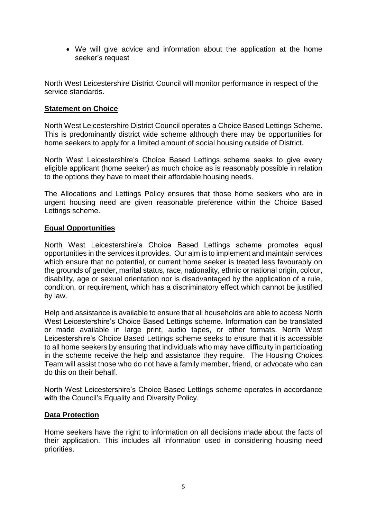We will give advice and information about the application at the home seeker's request

North West Leicestershire District Council will monitor performance in respect of the service standards.

# <span id="page-4-0"></span>**Statement on Choice**

North West Leicestershire District Council operates a Choice Based Lettings Scheme. This is predominantly district wide scheme although there may be opportunities for home seekers to apply for a limited amount of social housing outside of District.

North West Leicestershire's Choice Based Lettings scheme seeks to give every eligible applicant (home seeker) as much choice as is reasonably possible in relation to the options they have to meet their affordable housing needs.

The Allocations and Lettings Policy ensures that those home seekers who are in urgent housing need are given reasonable preference within the Choice Based Lettings scheme.

## <span id="page-4-1"></span>**Equal Opportunities**

North West Leicestershire's Choice Based Lettings scheme promotes equal opportunities in the services it provides. Our aim is to implement and maintain services which ensure that no potential, or current home seeker is treated less favourably on the grounds of gender, marital status, race, nationality, ethnic or national origin, colour, disability, age or sexual orientation nor is disadvantaged by the application of a rule, condition, or requirement, which has a discriminatory effect which cannot be justified by law.

Help and assistance is available to ensure that all households are able to access North West Leicestershire's Choice Based Lettings scheme. Information can be translated or made available in large print, audio tapes, or other formats. North West Leicestershire's Choice Based Lettings scheme seeks to ensure that it is accessible to all home seekers by ensuring that individuals who may have difficulty in participating in the scheme receive the help and assistance they require. The Housing Choices Team will assist those who do not have a family member, friend, or advocate who can do this on their behalf.

North West Leicestershire's Choice Based Lettings scheme operates in accordance with the Council's Equality and Diversity Policy.

## <span id="page-4-2"></span>**Data Protection**

Home seekers have the right to information on all decisions made about the facts of their application. This includes all information used in considering housing need priorities.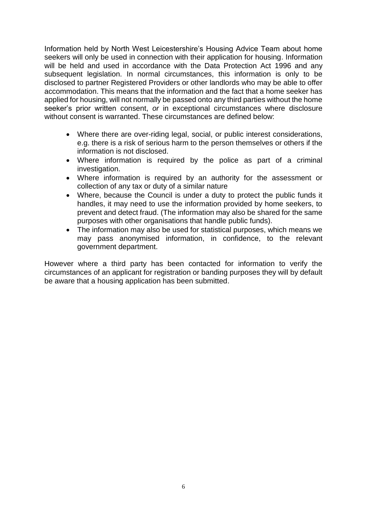Information held by North West Leicestershire's Housing Advice Team about home seekers will only be used in connection with their application for housing. Information will be held and used in accordance with the Data Protection Act 1996 and any subsequent legislation. In normal circumstances, this information is only to be disclosed to partner Registered Providers or other landlords who may be able to offer accommodation. This means that the information and the fact that a home seeker has applied for housing, will not normally be passed onto any third parties without the home seeker's prior written consent, *or* in exceptional circumstances where disclosure without consent is warranted. These circumstances are defined below:

- Where there are over-riding legal, social, or public interest considerations, e.g. there is a risk of serious harm to the person themselves or others if the information is not disclosed.
- Where information is required by the police as part of a criminal investigation.
- Where information is required by an authority for the assessment or collection of any tax or duty of a similar nature
- Where, because the Council is under a duty to protect the public funds it handles, it may need to use the information provided by home seekers, to prevent and detect fraud. (The information may also be shared for the same purposes with other organisations that handle public funds).
- The information may also be used for statistical purposes, which means we may pass anonymised information, in confidence, to the relevant government department.

However where a third party has been contacted for information to verify the circumstances of an applicant for registration or banding purposes they will by default be aware that a housing application has been submitted.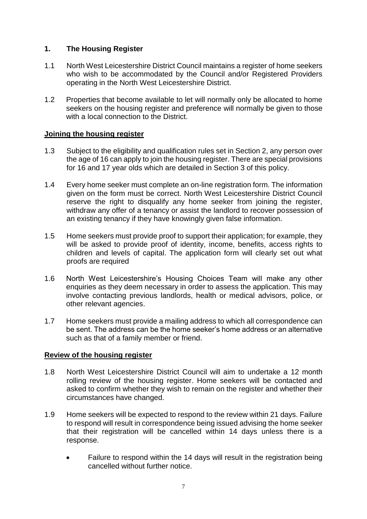# <span id="page-6-0"></span>**1. The Housing Register**

- 1.1 North West Leicestershire District Council maintains a register of home seekers who wish to be accommodated by the Council and/or Registered Providers operating in the North West Leicestershire District.
- 1.2 Properties that become available to let will normally only be allocated to home seekers on the housing register and preference will normally be given to those with a local connection to the District.

# <span id="page-6-1"></span>**Joining the housing register**

- 1.3 Subject to the eligibility and qualification rules set in Section 2, any person over the age of 16 can apply to join the housing register. There are special provisions for 16 and 17 year olds which are detailed in Section 3 of this policy.
- 1.4 Every home seeker must complete an on-line registration form. The information given on the form must be correct. North West Leicestershire District Council reserve the right to disqualify any home seeker from joining the register, withdraw any offer of a tenancy or assist the landlord to recover possession of an existing tenancy if they have knowingly given false information.
- 1.5 Home seekers must provide proof to support their application; for example, they will be asked to provide proof of identity, income, benefits, access rights to children and levels of capital. The application form will clearly set out what proofs are required
- 1.6 North West Leicestershire's Housing Choices Team will make any other enquiries as they deem necessary in order to assess the application. This may involve contacting previous landlords, health or medical advisors, police, or other relevant agencies.
- 1.7 Home seekers must provide a mailing address to which all correspondence can be sent. The address can be the home seeker's home address or an alternative such as that of a family member or friend.

## <span id="page-6-2"></span>**Review of the housing register**

- 1.8 North West Leicestershire District Council will aim to undertake a 12 month rolling review of the housing register. Home seekers will be contacted and asked to confirm whether they wish to remain on the register and whether their circumstances have changed.
- 1.9 Home seekers will be expected to respond to the review within 21 days. Failure to respond will result in correspondence being issued advising the home seeker that their registration will be cancelled within 14 days unless there is a response.
	- Failure to respond within the 14 days will result in the registration being cancelled without further notice.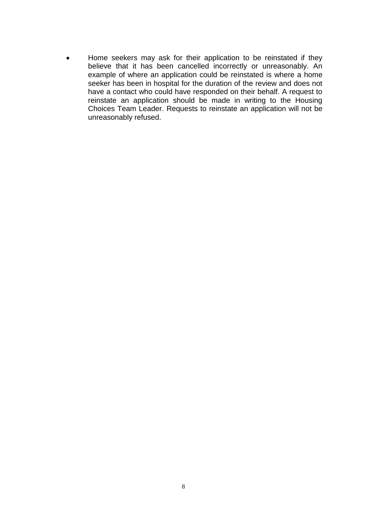Home seekers may ask for their application to be reinstated if they believe that it has been cancelled incorrectly or unreasonably. An example of where an application could be reinstated is where a home seeker has been in hospital for the duration of the review and does not have a contact who could have responded on their behalf. A request to reinstate an application should be made in writing to the Housing Choices Team Leader. Requests to reinstate an application will not be unreasonably refused.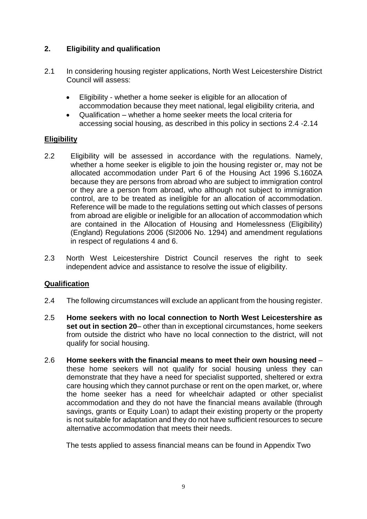# <span id="page-8-0"></span>**2. Eligibility and qualification**

- 2.1 In considering housing register applications, North West Leicestershire District Council will assess:
	- Eligibility whether a home seeker is eligible for an allocation of accommodation because they meet national, legal eligibility criteria, and
	- Qualification whether a home seeker meets the local criteria for accessing social housing, as described in this policy in sections 2.4 -2.14

# <span id="page-8-1"></span>**Eligibility**

- 2.2 Eligibility will be assessed in accordance with the regulations. Namely, whether a home seeker is eligible to join the housing register or, may not be allocated accommodation under Part 6 of the Housing Act 1996 S.160ZA because they are persons from abroad who are subject to immigration control or they are a person from abroad, who although not subject to immigration control, are to be treated as ineligible for an allocation of accommodation. Reference will be made to the regulations setting out which classes of persons from abroad are eligible or ineligible for an allocation of accommodation which are contained in the Allocation of Housing and Homelessness (Eligibility) (England) Regulations 2006 (SI2006 No. 1294) and amendment regulations in respect of regulations 4 and 6.
- 2.3 North West Leicestershire District Council reserves the right to seek independent advice and assistance to resolve the issue of eligibility.

# <span id="page-8-2"></span>**Qualification**

- 2.4 The following circumstances will exclude an applicant from the housing register.
- 2.5 **Home seekers with no local connection to North West Leicestershire as set out in section 20**– other than in exceptional circumstances, home seekers from outside the district who have no local connection to the district, will not qualify for social housing.
- 2.6 **Home seekers with the financial means to meet their own housing need** these home seekers will not qualify for social housing unless they can demonstrate that they have a need for specialist supported, sheltered or extra care housing which they cannot purchase or rent on the open market, or, where the home seeker has a need for wheelchair adapted or other specialist accommodation and they do not have the financial means available (through savings, grants or Equity Loan) to adapt their existing property or the property is not suitable for adaptation and they do not have sufficient resources to secure alternative accommodation that meets their needs.

The tests applied to assess financial means can be found in Appendix Two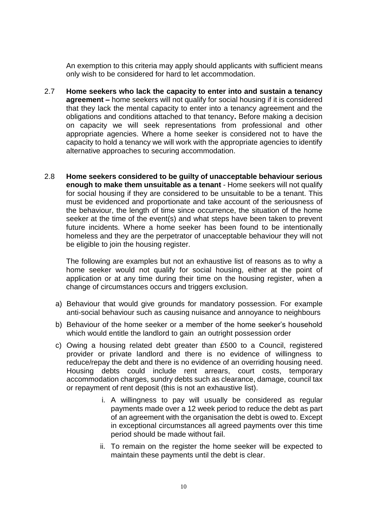An exemption to this criteria may apply should applicants with sufficient means only wish to be considered for hard to let accommodation.

- 2.7 **Home seekers who lack the capacity to enter into and sustain a tenancy agreement –** home seekers will not qualify for social housing if it is considered that they lack the mental capacity to enter into a tenancy agreement and the obligations and conditions attached to that tenancy**.** Before making a decision on capacity we will seek representations from professional and other appropriate agencies. Where a home seeker is considered not to have the capacity to hold a tenancy we will work with the appropriate agencies to identify alternative approaches to securing accommodation.
- 2.8 **Home seekers considered to be guilty of unacceptable behaviour serious enough to make them unsuitable as a tenant** - Home seekers will not qualify for social housing if they are considered to be unsuitable to be a tenant. This must be evidenced and proportionate and take account of the seriousness of the behaviour, the length of time since occurrence, the situation of the home seeker at the time of the event(s) and what steps have been taken to prevent future incidents. Where a home seeker has been found to be intentionally homeless and they are the perpetrator of unacceptable behaviour they will not be eligible to join the housing register.

The following are examples but not an exhaustive list of reasons as to why a home seeker would not qualify for social housing, either at the point of application or at any time during their time on the housing register, when a change of circumstances occurs and triggers exclusion.

- a) Behaviour that would give grounds for mandatory possession. For example anti-social behaviour such as causing nuisance and annoyance to neighbours
- b) Behaviour of the home seeker or a member of the home seeker's household which would entitle the landlord to gain an outright possession order
- c) Owing a housing related debt greater than £500 to a Council, registered provider or private landlord and there is no evidence of willingness to reduce/repay the debt and there is no evidence of an overriding housing need. Housing debts could include rent arrears, court costs, temporary accommodation charges, sundry debts such as clearance, damage, council tax or repayment of rent deposit (this is not an exhaustive list).
	- i. A willingness to pay will usually be considered as regular payments made over a 12 week period to reduce the debt as part of an agreement with the organisation the debt is owed to. Except in exceptional circumstances all agreed payments over this time period should be made without fail.
	- ii. To remain on the register the home seeker will be expected to maintain these payments until the debt is clear.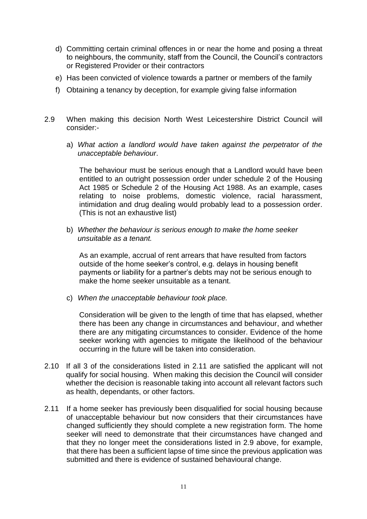- d) Committing certain criminal offences in or near the home and posing a threat to neighbours, the community, staff from the Council, the Council's contractors or Registered Provider or their contractors
- e) Has been convicted of violence towards a partner or members of the family
- f) Obtaining a tenancy by deception, for example giving false information
- 2.9 When making this decision North West Leicestershire District Council will consider:
	- a) *What action a landlord would have taken against the perpetrator of the unacceptable behaviour*.

The behaviour must be serious enough that a Landlord would have been entitled to an outright possession order under schedule 2 of the Housing Act 1985 or Schedule 2 of the Housing Act 1988. As an example, cases relating to noise problems, domestic violence, racial harassment, intimidation and drug dealing would probably lead to a possession order. (This is not an exhaustive list)

b) *Whether the behaviour is serious enough to make the home seeker unsuitable as a tenant.*

As an example, accrual of rent arrears that have resulted from factors outside of the home seeker's control, e.g. delays in housing benefit payments or liability for a partner's debts may not be serious enough to make the home seeker unsuitable as a tenant.

c) *When the unacceptable behaviour took place.* 

Consideration will be given to the length of time that has elapsed, whether there has been any change in circumstances and behaviour, and whether there are any mitigating circumstances to consider. Evidence of the home seeker working with agencies to mitigate the likelihood of the behaviour occurring in the future will be taken into consideration.

- 2.10 If all 3 of the considerations listed in 2.11 are satisfied the applicant will not qualify for social housing. When making this decision the Council will consider whether the decision is reasonable taking into account all relevant factors such as health, dependants, or other factors.
- 2.11 If a home seeker has previously been disqualified for social housing because of unacceptable behaviour but now considers that their circumstances have changed sufficiently they should complete a new registration form. The home seeker will need to demonstrate that their circumstances have changed and that they no longer meet the considerations listed in 2.9 above, for example, that there has been a sufficient lapse of time since the previous application was submitted and there is evidence of sustained behavioural change.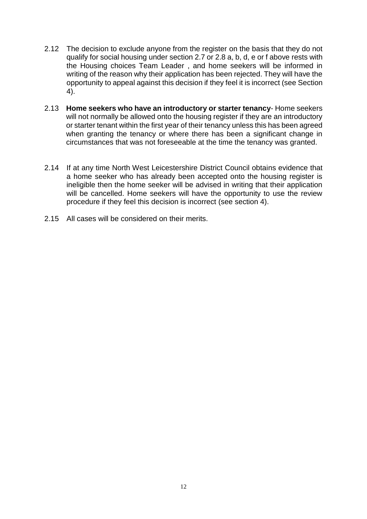- 2.12 The decision to exclude anyone from the register on the basis that they do not qualify for social housing under section 2.7 or 2.8 a, b, d, e or f above rests with the Housing choices Team Leader , and home seekers will be informed in writing of the reason why their application has been rejected. They will have the opportunity to appeal against this decision if they feel it is incorrect (see Section 4).
- 2.13 **Home seekers who have an introductory or starter tenancy** Home seekers will not normally be allowed onto the housing register if they are an introductory or starter tenant within the first year of their tenancy unless this has been agreed when granting the tenancy or where there has been a significant change in circumstances that was not foreseeable at the time the tenancy was granted.
- 2.14 If at any time North West Leicestershire District Council obtains evidence that a home seeker who has already been accepted onto the housing register is ineligible then the home seeker will be advised in writing that their application will be cancelled. Home seekers will have the opportunity to use the review procedure if they feel this decision is incorrect (see section 4).
- 2.15 All cases will be considered on their merits.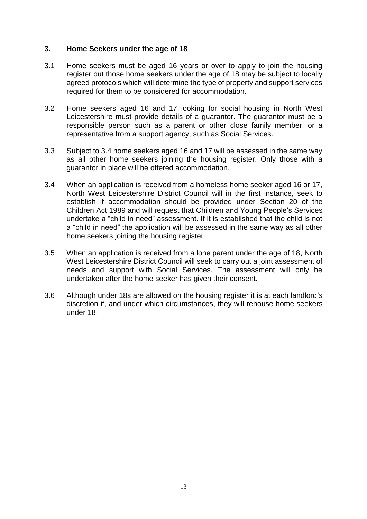## <span id="page-12-0"></span>**3. Home Seekers under the age of 18**

- 3.1 Home seekers must be aged 16 years or over to apply to join the housing register but those home seekers under the age of 18 may be subject to locally agreed protocols which will determine the type of property and support services required for them to be considered for accommodation.
- 3.2 Home seekers aged 16 and 17 looking for social housing in North West Leicestershire must provide details of a guarantor. The guarantor must be a responsible person such as a parent or other close family member, or a representative from a support agency, such as Social Services.
- 3.3 Subject to 3.4 home seekers aged 16 and 17 will be assessed in the same way as all other home seekers joining the housing register. Only those with a guarantor in place will be offered accommodation.
- 3.4 When an application is received from a homeless home seeker aged 16 or 17, North West Leicestershire District Council will in the first instance, seek to establish if accommodation should be provided under Section 20 of the Children Act 1989 and will request that Children and Young People's Services undertake a "child in need" assessment. If it is established that the child is not a "child in need" the application will be assessed in the same way as all other home seekers joining the housing register
- 3.5 When an application is received from a lone parent under the age of 18, North West Leicestershire District Council will seek to carry out a joint assessment of needs and support with Social Services. The assessment will only be undertaken after the home seeker has given their consent.
- 3.6 Although under 18s are allowed on the housing register it is at each landlord's discretion if, and under which circumstances, they will rehouse home seekers under 18.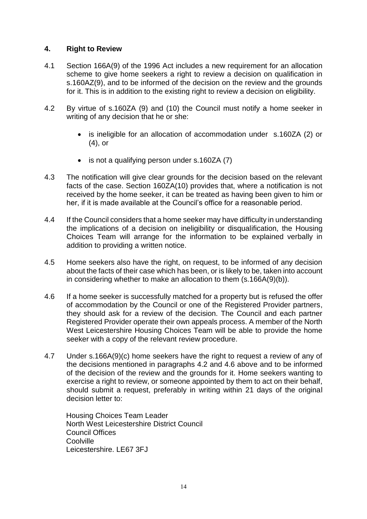# <span id="page-13-0"></span>**4. Right to Review**

- 4.1 Section 166A(9) of the 1996 Act includes a new requirement for an allocation scheme to give home seekers a right to review a decision on qualification in s.160AZ(9), and to be informed of the decision on the review and the grounds for it. This is in addition to the existing right to review a decision on eligibility.
- 4.2 By virtue of s.160ZA (9) and (10) the Council must notify a home seeker in writing of any decision that he or she:
	- is ineligible for an allocation of accommodation under s.160ZA (2) or (4), or
	- is not a qualifying person under s.160ZA (7)
- 4.3 The notification will give clear grounds for the decision based on the relevant facts of the case. Section 160ZA(10) provides that, where a notification is not received by the home seeker, it can be treated as having been given to him or her, if it is made available at the Council's office for a reasonable period.
- 4.4 If the Council considers that a home seeker may have difficulty in understanding the implications of a decision on ineligibility or disqualification, the Housing Choices Team will arrange for the information to be explained verbally in addition to providing a written notice.
- 4.5 Home seekers also have the right, on request, to be informed of any decision about the facts of their case which has been, or is likely to be, taken into account in considering whether to make an allocation to them (s.166A(9)(b)).
- 4.6 If a home seeker is successfully matched for a property but is refused the offer of accommodation by the Council or one of the Registered Provider partners, they should ask for a review of the decision. The Council and each partner Registered Provider operate their own appeals process. A member of the North West Leicestershire Housing Choices Team will be able to provide the home seeker with a copy of the relevant review procedure.
- 4.7 Under s.166A(9)(c) home seekers have the right to request a review of any of the decisions mentioned in paragraphs 4.2 and 4.6 above and to be informed of the decision of the review and the grounds for it. Home seekers wanting to exercise a right to review, or someone appointed by them to act on their behalf, should submit a request, preferably in writing within 21 days of the original decision letter to:

Housing Choices Team Leader North West Leicestershire District Council Council Offices Coolville Leicestershire. LE67 3FJ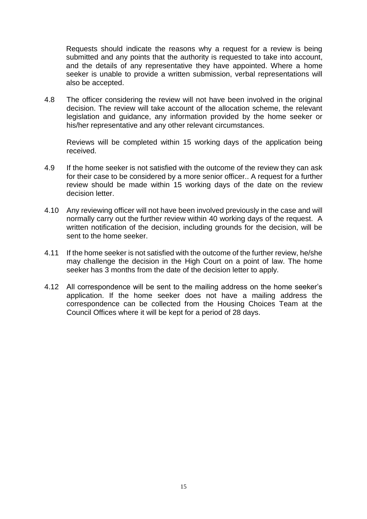Requests should indicate the reasons why a request for a review is being submitted and any points that the authority is requested to take into account, and the details of any representative they have appointed. Where a home seeker is unable to provide a written submission, verbal representations will also be accepted.

4.8 The officer considering the review will not have been involved in the original decision. The review will take account of the allocation scheme, the relevant legislation and guidance, any information provided by the home seeker or his/her representative and any other relevant circumstances.

Reviews will be completed within 15 working days of the application being received.

- 4.9 If the home seeker is not satisfied with the outcome of the review they can ask for their case to be considered by a more senior officer.. A request for a further review should be made within 15 working days of the date on the review decision letter.
- 4.10 Any reviewing officer will not have been involved previously in the case and will normally carry out the further review within 40 working days of the request. A written notification of the decision, including grounds for the decision, will be sent to the home seeker.
- 4.11 If the home seeker is not satisfied with the outcome of the further review, he/she may challenge the decision in the High Court on a point of law. The home seeker has 3 months from the date of the decision letter to apply.
- 4.12 All correspondence will be sent to the mailing address on the home seeker's application. If the home seeker does not have a mailing address the correspondence can be collected from the Housing Choices Team at the Council Offices where it will be kept for a period of 28 days.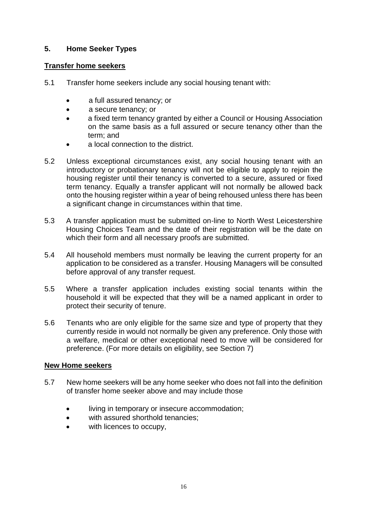# <span id="page-15-0"></span>**5. Home Seeker Types**

# <span id="page-15-1"></span>**Transfer home seekers**

- 5.1 Transfer home seekers include any social housing tenant with:
	- a full assured tenancy; or
	- a secure tenancy; or
	- a fixed term tenancy granted by either a Council or Housing Association on the same basis as a full assured or secure tenancy other than the term; and
	- a local connection to the district.
- 5.2 Unless exceptional circumstances exist, any social housing tenant with an introductory or probationary tenancy will not be eligible to apply to rejoin the housing register until their tenancy is converted to a secure, assured or fixed term tenancy. Equally a transfer applicant will not normally be allowed back onto the housing register within a year of being rehoused unless there has been a significant change in circumstances within that time.
- 5.3 A transfer application must be submitted on-line to North West Leicestershire Housing Choices Team and the date of their registration will be the date on which their form and all necessary proofs are submitted.
- 5.4 All household members must normally be leaving the current property for an application to be considered as a transfer. Housing Managers will be consulted before approval of any transfer request.
- 5.5 Where a transfer application includes existing social tenants within the household it will be expected that they will be a named applicant in order to protect their security of tenure.
- 5.6 Tenants who are only eligible for the same size and type of property that they currently reside in would not normally be given any preference. Only those with a welfare, medical or other exceptional need to move will be considered for preference. (For more details on eligibility, see Section 7)

## <span id="page-15-2"></span>**New Home seekers**

- 5.7 New home seekers will be any home seeker who does not fall into the definition of transfer home seeker above and may include those
	- living in temporary or insecure accommodation;
	- with assured shorthold tenancies:
	- with licences to occupy,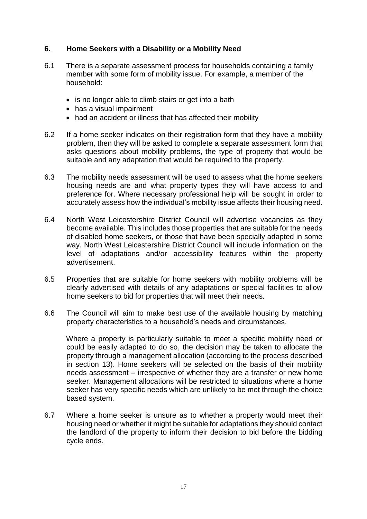# <span id="page-16-0"></span>**6. Home Seekers with a Disability or a Mobility Need**

- 6.1 There is a separate assessment process for households containing a family member with some form of mobility issue. For example, a member of the household:
	- is no longer able to climb stairs or get into a bath
	- has a visual impairment
	- had an accident or illness that has affected their mobility
- 6.2 If a home seeker indicates on their registration form that they have a mobility problem, then they will be asked to complete a separate assessment form that asks questions about mobility problems, the type of property that would be suitable and any adaptation that would be required to the property.
- 6.3 The mobility needs assessment will be used to assess what the home seekers housing needs are and what property types they will have access to and preference for. Where necessary professional help will be sought in order to accurately assess how the individual's mobility issue affects their housing need.
- 6.4 North West Leicestershire District Council will advertise vacancies as they become available. This includes those properties that are suitable for the needs of disabled home seekers, or those that have been specially adapted in some way. North West Leicestershire District Council will include information on the level of adaptations and/or accessibility features within the property advertisement.
- 6.5 Properties that are suitable for home seekers with mobility problems will be clearly advertised with details of any adaptations or special facilities to allow home seekers to bid for properties that will meet their needs.
- 6.6 The Council will aim to make best use of the available housing by matching property characteristics to a household's needs and circumstances.

Where a property is particularly suitable to meet a specific mobility need or could be easily adapted to do so, the decision may be taken to allocate the property through a management allocation (according to the process described in section 13). Home seekers will be selected on the basis of their mobility needs assessment – irrespective of whether they are a transfer or new home seeker. Management allocations will be restricted to situations where a home seeker has very specific needs which are unlikely to be met through the choice based system.

6.7 Where a home seeker is unsure as to whether a property would meet their housing need or whether it might be suitable for adaptations they should contact the landlord of the property to inform their decision to bid before the bidding cycle ends.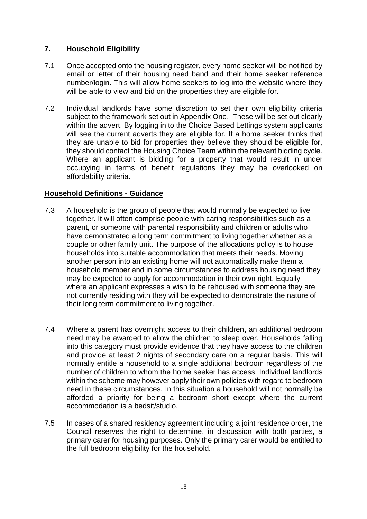# <span id="page-17-0"></span>**7. Household Eligibility**

- 7.1 Once accepted onto the housing register, every home seeker will be notified by email or letter of their housing need band and their home seeker reference number/login. This will allow home seekers to log into the website where they will be able to view and bid on the properties they are eligible for.
- 7.2 Individual landlords have some discretion to set their own eligibility criteria subject to the framework set out in Appendix One. These will be set out clearly within the advert. By logging in to the Choice Based Lettings system applicants will see the current adverts they are eligible for. If a home seeker thinks that they are unable to bid for properties they believe they should be eligible for, they should contact the Housing Choice Team within the relevant bidding cycle. Where an applicant is bidding for a property that would result in under occupying in terms of benefit regulations they may be overlooked on affordability criteria.

# <span id="page-17-1"></span>**Household Definitions - Guidance**

- 7.3 A household is the group of people that would normally be expected to live together. It will often comprise people with caring responsibilities such as a parent, or someone with parental responsibility and children or adults who have demonstrated a long term commitment to living together whether as a couple or other family unit. The purpose of the allocations policy is to house households into suitable accommodation that meets their needs. Moving another person into an existing home will not automatically make them a household member and in some circumstances to address housing need they may be expected to apply for accommodation in their own right. Equally where an applicant expresses a wish to be rehoused with someone they are not currently residing with they will be expected to demonstrate the nature of their long term commitment to living together.
- 7.4 Where a parent has overnight access to their children, an additional bedroom need may be awarded to allow the children to sleep over. Households falling into this category must provide evidence that they have access to the children and provide at least 2 nights of secondary care on a regular basis. This will normally entitle a household to a single additional bedroom regardless of the number of children to whom the home seeker has access. Individual landlords within the scheme may however apply their own policies with regard to bedroom need in these circumstances. In this situation a household will not normally be afforded a priority for being a bedroom short except where the current accommodation is a bedsit/studio.
- 7.5 In cases of a shared residency agreement including a joint residence order, the Council reserves the right to determine, in discussion with both parties, a primary carer for housing purposes. Only the primary carer would be entitled to the full bedroom eligibility for the household.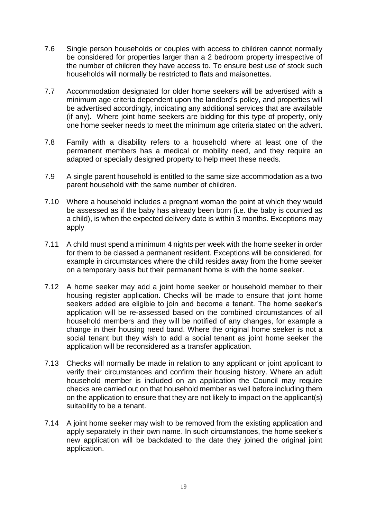- 7.6 Single person households or couples with access to children cannot normally be considered for properties larger than a 2 bedroom property irrespective of the number of children they have access to. To ensure best use of stock such households will normally be restricted to flats and maisonettes.
- 7.7 Accommodation designated for older home seekers will be advertised with a minimum age criteria dependent upon the landlord's policy, and properties will be advertised accordingly, indicating any additional services that are available (if any). Where joint home seekers are bidding for this type of property, only one home seeker needs to meet the minimum age criteria stated on the advert.
- 7.8 Family with a disability refers to a household where at least one of the permanent members has a medical or mobility need, and they require an adapted or specially designed property to help meet these needs.
- 7.9 A single parent household is entitled to the same size accommodation as a two parent household with the same number of children.
- 7.10 Where a household includes a pregnant woman the point at which they would be assessed as if the baby has already been born (i.e. the baby is counted as a child), is when the expected delivery date is within 3 months. Exceptions may apply
- 7.11 A child must spend a minimum 4 nights per week with the home seeker in order for them to be classed a permanent resident. Exceptions will be considered, for example in circumstances where the child resides away from the home seeker on a temporary basis but their permanent home is with the home seeker.
- 7.12 A home seeker may add a joint home seeker or household member to their housing register application. Checks will be made to ensure that joint home seekers added are eligible to join and become a tenant. The home seeker's application will be re-assessed based on the combined circumstances of all household members and they will be notified of any changes, for example a change in their housing need band. Where the original home seeker is not a social tenant but they wish to add a social tenant as joint home seeker the application will be reconsidered as a transfer application.
- 7.13 Checks will normally be made in relation to any applicant or joint applicant to verify their circumstances and confirm their housing history. Where an adult household member is included on an application the Council may require checks are carried out on that household member as well before including them on the application to ensure that they are not likely to impact on the applicant(s) suitability to be a tenant.
- 7.14 A joint home seeker may wish to be removed from the existing application and apply separately in their own name. In such circumstances, the home seeker's new application will be backdated to the date they joined the original joint application.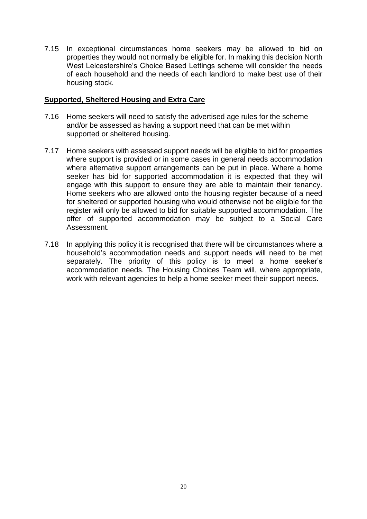7.15 In exceptional circumstances home seekers may be allowed to bid on properties they would not normally be eligible for. In making this decision North West Leicestershire's Choice Based Lettings scheme will consider the needs of each household and the needs of each landlord to make best use of their housing stock.

## <span id="page-19-0"></span>**Supported, Sheltered Housing and Extra Care**

- 7.16 Home seekers will need to satisfy the advertised age rules for the scheme and/or be assessed as having a support need that can be met within supported or sheltered housing.
- 7.17 Home seekers with assessed support needs will be eligible to bid for properties where support is provided or in some cases in general needs accommodation where alternative support arrangements can be put in place. Where a home seeker has bid for supported accommodation it is expected that they will engage with this support to ensure they are able to maintain their tenancy. Home seekers who are allowed onto the housing register because of a need for sheltered or supported housing who would otherwise not be eligible for the register will only be allowed to bid for suitable supported accommodation. The offer of supported accommodation may be subject to a Social Care Assessment.
- 7.18 In applying this policy it is recognised that there will be circumstances where a household's accommodation needs and support needs will need to be met separately. The priority of this policy is to meet a home seeker's accommodation needs. The Housing Choices Team will, where appropriate, work with relevant agencies to help a home seeker meet their support needs.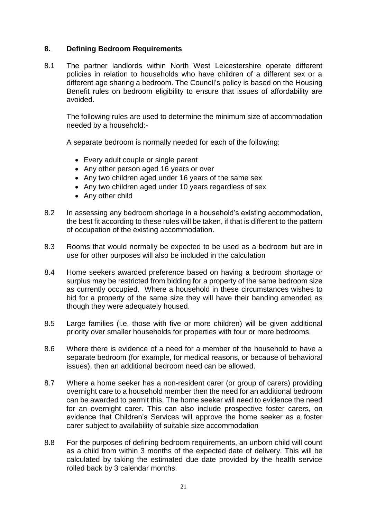# <span id="page-20-0"></span>**8. Defining Bedroom Requirements**

8.1 The partner landlords within North West Leicestershire operate different policies in relation to households who have children of a different sex or a different age sharing a bedroom. The Council's policy is based on the Housing Benefit rules on bedroom eligibility to ensure that issues of affordability are avoided.

The following rules are used to determine the minimum size of accommodation needed by a household:-

A separate bedroom is normally needed for each of the following:

- Every adult couple or single parent
- Any other person aged 16 years or over
- Any two children aged under 16 years of the same sex
- Any two children aged under 10 years regardless of sex
- Any other child
- 8.2 In assessing any bedroom shortage in a household's existing accommodation, the best fit according to these rules will be taken, if that is different to the pattern of occupation of the existing accommodation.
- 8.3 Rooms that would normally be expected to be used as a bedroom but are in use for other purposes will also be included in the calculation
- 8.4 Home seekers awarded preference based on having a bedroom shortage or surplus may be restricted from bidding for a property of the same bedroom size as currently occupied. Where a household in these circumstances wishes to bid for a property of the same size they will have their banding amended as though they were adequately housed.
- 8.5 Large families (i.e. those with five or more children) will be given additional priority over smaller households for properties with four or more bedrooms.
- 8.6 Where there is evidence of a need for a member of the household to have a separate bedroom (for example, for medical reasons, or because of behavioral issues), then an additional bedroom need can be allowed.
- 8.7 Where a home seeker has a non-resident carer (or group of carers) providing overnight care to a household member then the need for an additional bedroom can be awarded to permit this. The home seeker will need to evidence the need for an overnight carer. This can also include prospective foster carers, on evidence that Children's Services will approve the home seeker as a foster carer subject to availability of suitable size accommodation
- 8.8 For the purposes of defining bedroom requirements, an unborn child will count as a child from within 3 months of the expected date of delivery. This will be calculated by taking the estimated due date provided by the health service rolled back by 3 calendar months.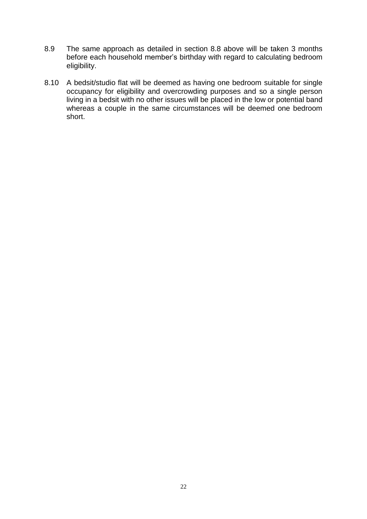- 8.9 The same approach as detailed in section 8.8 above will be taken 3 months before each household member's birthday with regard to calculating bedroom eligibility.
- 8.10 A bedsit/studio flat will be deemed as having one bedroom suitable for single occupancy for eligibility and overcrowding purposes and so a single person living in a bedsit with no other issues will be placed in the low or potential band whereas a couple in the same circumstances will be deemed one bedroom short.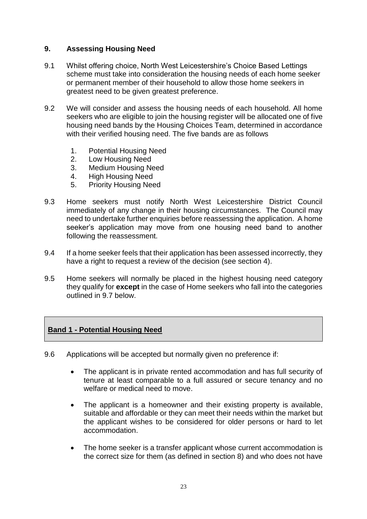# <span id="page-22-0"></span>**9. Assessing Housing Need**

- 9.1 Whilst offering choice, North West Leicestershire's Choice Based Lettings scheme must take into consideration the housing needs of each home seeker or permanent member of their household to allow those home seekers in greatest need to be given greatest preference.
- 9.2 We will consider and assess the housing needs of each household. All home seekers who are eligible to join the housing register will be allocated one of five housing need bands by the Housing Choices Team, determined in accordance with their verified housing need. The five bands are as follows
	- 1. Potential Housing Need
	- 2. Low Housing Need
	- 3. Medium Housing Need
	- 4. High Housing Need
	- 5. Priority Housing Need
- 9.3 Home seekers must notify North West Leicestershire District Council immediately of any change in their housing circumstances. The Council may need to undertake further enquiries before reassessing the application. A home seeker's application may move from one housing need band to another following the reassessment.
- 9.4 If a home seeker feels that their application has been assessed incorrectly, they have a right to request a review of the decision (see section 4).
- 9.5 Home seekers will normally be placed in the highest housing need category they qualify for **except** in the case of Home seekers who fall into the categories outlined in 9.7 below.

# <span id="page-22-1"></span>**Band 1 - Potential Housing Need**

- 9.6 Applications will be accepted but normally given no preference if:
	- The applicant is in private rented accommodation and has full security of tenure at least comparable to a full assured or secure tenancy and no welfare or medical need to move.
	- The applicant is a homeowner and their existing property is available, suitable and affordable or they can meet their needs within the market but the applicant wishes to be considered for older persons or hard to let accommodation.
	- The home seeker is a transfer applicant whose current accommodation is the correct size for them (as defined in section 8) and who does not have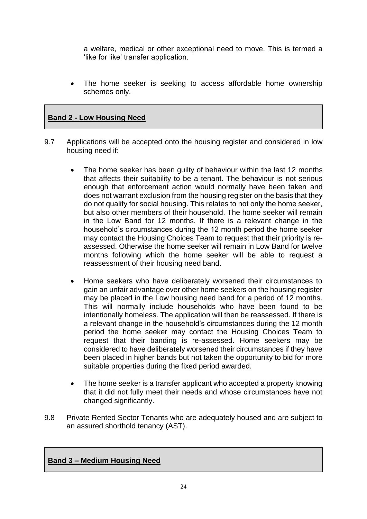a welfare, medical or other exceptional need to move. This is termed a 'like for like' transfer application.

 The home seeker is seeking to access affordable home ownership schemes only.

# <span id="page-23-0"></span>**Band 2 - Low Housing Need**

- 9.7 Applications will be accepted onto the housing register and considered in low housing need if:
	- The home seeker has been guilty of behaviour within the last 12 months that affects their suitability to be a tenant. The behaviour is not serious enough that enforcement action would normally have been taken and does not warrant exclusion from the housing register on the basis that they do not qualify for social housing. This relates to not only the home seeker, but also other members of their household. The home seeker will remain in the Low Band for 12 months. If there is a relevant change in the household's circumstances during the 12 month period the home seeker may contact the Housing Choices Team to request that their priority is reassessed. Otherwise the home seeker will remain in Low Band for twelve months following which the home seeker will be able to request a reassessment of their housing need band.
	- Home seekers who have deliberately worsened their circumstances to gain an unfair advantage over other home seekers on the housing register may be placed in the Low housing need band for a period of 12 months. This will normally include households who have been found to be intentionally homeless. The application will then be reassessed. If there is a relevant change in the household's circumstances during the 12 month period the home seeker may contact the Housing Choices Team to request that their banding is re-assessed. Home seekers may be considered to have deliberately worsened their circumstances if they have been placed in higher bands but not taken the opportunity to bid for more suitable properties during the fixed period awarded.
	- The home seeker is a transfer applicant who accepted a property knowing that it did not fully meet their needs and whose circumstances have not changed significantly.
- 9.8 Private Rented Sector Tenants who are adequately housed and are subject to an assured shorthold tenancy (AST).

## <span id="page-23-1"></span>**Band 3 – Medium Housing Need**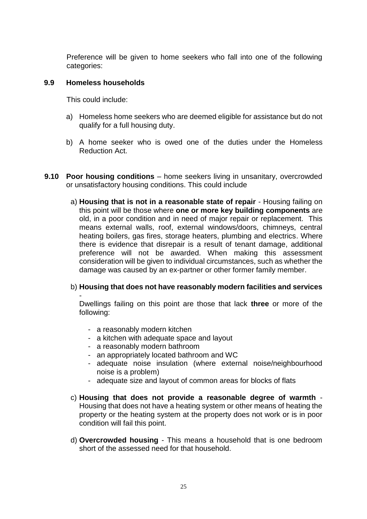Preference will be given to home seekers who fall into one of the following categories:

#### **9.9 Homeless households**

This could include:

- a) Homeless home seekers who are deemed eligible for assistance but do not qualify for a full housing duty.
- b) A home seeker who is owed one of the duties under the Homeless Reduction Act.
- **9.10 Poor housing conditions** home seekers living in unsanitary, overcrowded or unsatisfactory housing conditions. This could include
	- a) **Housing that is not in a reasonable state of repair** Housing failing on this point will be those where **one or more key building components** are old, in a poor condition and in need of major repair or replacement. This means external walls, roof, external windows/doors, chimneys, central heating boilers, gas fires, storage heaters, plumbing and electrics. Where there is evidence that disrepair is a result of tenant damage, additional preference will not be awarded. When making this assessment consideration will be given to individual circumstances, such as whether the damage was caused by an ex-partner or other former family member.
	- b) **Housing that does not have reasonably modern facilities and services** -

Dwellings failing on this point are those that lack **three** or more of the following:

- a reasonably modern kitchen
- a kitchen with adequate space and layout
- a reasonably modern bathroom
- an appropriately located bathroom and WC
- adequate noise insulation (where external noise/neighbourhood noise is a problem)
- adequate size and layout of common areas for blocks of flats
- c) **Housing that does not provide a reasonable degree of warmth** Housing that does not have a heating system or other means of heating the property or the heating system at the property does not work or is in poor condition will fail this point.
- d) **Overcrowded housing** This means a household that is one bedroom short of the assessed need for that household.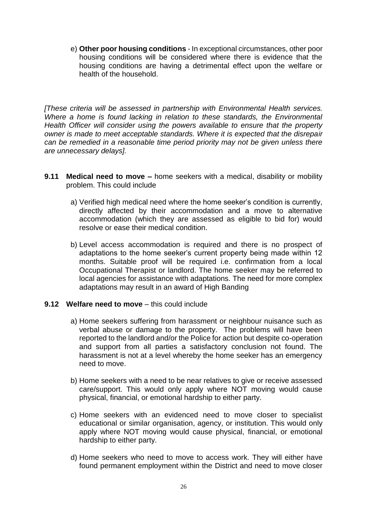e) **Other poor housing conditions** - In exceptional circumstances, other poor housing conditions will be considered where there is evidence that the housing conditions are having a detrimental effect upon the welfare or health of the household.

*[These criteria will be assessed in partnership with Environmental Health services. Where a home is found lacking in relation to these standards, the Environmental Health Officer will consider using the powers available to ensure that the property owner is made to meet acceptable standards. Where it is expected that the disrepair can be remedied in a reasonable time period priority may not be given unless there are unnecessary delays].*

- **9.11 Medical need to move –** home seekers with a medical, disability or mobility problem. This could include
	- a) Verified high medical need where the home seeker's condition is currently, directly affected by their accommodation and a move to alternative accommodation (which they are assessed as eligible to bid for) would resolve or ease their medical condition.
	- b) Level access accommodation is required and there is no prospect of adaptations to the home seeker's current property being made within 12 months. Suitable proof will be required i.e. confirmation from a local Occupational Therapist or landlord. The home seeker may be referred to local agencies for assistance with adaptations. The need for more complex adaptations may result in an award of High Banding

#### **9.12 Welfare need to move** – this could include

- a) Home seekers suffering from harassment or neighbour nuisance such as verbal abuse or damage to the property. The problems will have been reported to the landlord and/or the Police for action but despite co-operation and support from all parties a satisfactory conclusion not found. The harassment is not at a level whereby the home seeker has an emergency need to move.
- b) Home seekers with a need to be near relatives to give or receive assessed care/support. This would only apply where NOT moving would cause physical, financial, or emotional hardship to either party.
- c) Home seekers with an evidenced need to move closer to specialist educational or similar organisation, agency, or institution. This would only apply where NOT moving would cause physical, financial, or emotional hardship to either party.
- d) Home seekers who need to move to access work. They will either have found permanent employment within the District and need to move closer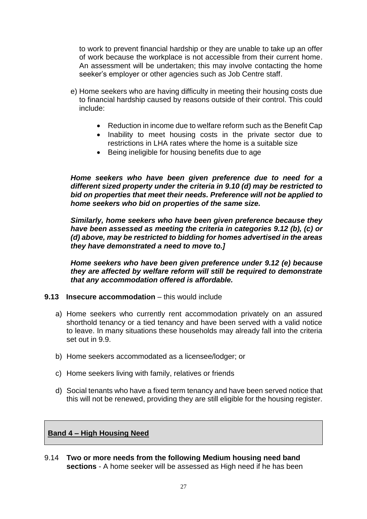to work to prevent financial hardship or they are unable to take up an offer of work because the workplace is not accessible from their current home. An assessment will be undertaken; this may involve contacting the home seeker's employer or other agencies such as Job Centre staff.

- e) Home seekers who are having difficulty in meeting their housing costs due to financial hardship caused by reasons outside of their control. This could include:
	- Reduction in income due to welfare reform such as the Benefit Cap
	- Inability to meet housing costs in the private sector due to restrictions in LHA rates where the home is a suitable size
	- Being ineligible for housing benefits due to age

*Home seekers who have been given preference due to need for a different sized property under the criteria in 9.10 (d) may be restricted to bid on properties that meet their needs. Preference will not be applied to home seekers who bid on properties of the same size.*

*Similarly, home seekers who have been given preference because they have been assessed as meeting the criteria in categories 9.12 (b), (c) or (d) above, may be restricted to bidding for homes advertised in the areas they have demonstrated a need to move to.]*

*Home seekers who have been given preference under 9.12 (e) because they are affected by welfare reform will still be required to demonstrate that any accommodation offered is affordable.*

- **9.13 Insecure accommodation** this would include
	- a) Home seekers who currently rent accommodation privately on an assured shorthold tenancy or a tied tenancy and have been served with a valid notice to leave. In many situations these households may already fall into the criteria set out in 9.9.
	- b) Home seekers accommodated as a licensee/lodger; or
	- c) Home seekers living with family, relatives or friends
	- d) Social tenants who have a fixed term tenancy and have been served notice that this will not be renewed, providing they are still eligible for the housing register.

## <span id="page-26-0"></span>**Band 4 – High Housing Need**

9.14 **Two or more needs from the following Medium housing need band sections** - A home seeker will be assessed as High need if he has been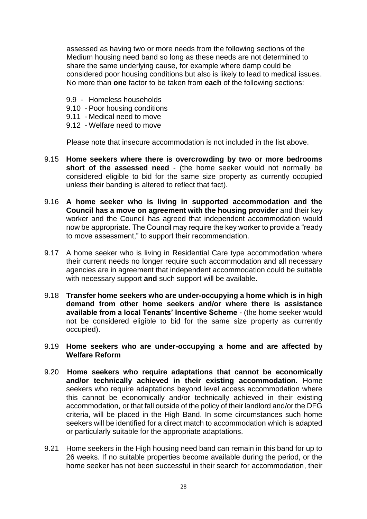assessed as having two or more needs from the following sections of the Medium housing need band so long as these needs are not determined to share the same underlying cause, for example where damp could be considered poor housing conditions but also is likely to lead to medical issues. No more than **one** factor to be taken from **each** of the following sections:

- 9.9 Homeless households
- 9.10 Poor housing conditions
- 9.11 Medical need to move
- 9.12 Welfare need to move

Please note that insecure accommodation is not included in the list above.

- 9.15 **Home seekers where there is overcrowding by two or more bedrooms short of the assessed need** - (the home seeker would not normally be considered eligible to bid for the same size property as currently occupied unless their banding is altered to reflect that fact).
- 9.16 **A home seeker who is living in supported accommodation and the Council has a move on agreement with the housing provider** and their key worker and the Council has agreed that independent accommodation would now be appropriate. The Council may require the key worker to provide a "ready to move assessment," to support their recommendation.
- 9.17 A home seeker who is living in Residential Care type accommodation where their current needs no longer require such accommodation and all necessary agencies are in agreement that independent accommodation could be suitable with necessary support **and** such support will be available.
- 9.18 **Transfer home seekers who are under-occupying a home which is in high demand from other home seekers and/or where there is assistance available from a local Tenants' Incentive Scheme** - (the home seeker would not be considered eligible to bid for the same size property as currently occupied).
- 9.19 **Home seekers who are under-occupying a home and are affected by Welfare Reform**
- 9.20 **Home seekers who require adaptations that cannot be economically and/or technically achieved in their existing accommodation.** Home seekers who require adaptations beyond level access accommodation where this cannot be economically and/or technically achieved in their existing accommodation, or that fall outside of the policy of their landlord and/or the DFG criteria, will be placed in the High Band. In some circumstances such home seekers will be identified for a direct match to accommodation which is adapted or particularly suitable for the appropriate adaptations.
- 9.21 Home seekers in the High housing need band can remain in this band for up to 26 weeks. If no suitable properties become available during the period, or the home seeker has not been successful in their search for accommodation, their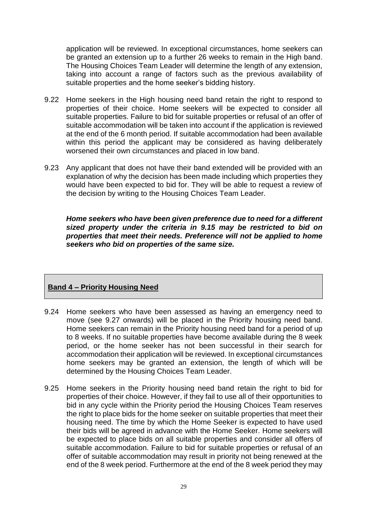application will be reviewed. In exceptional circumstances, home seekers can be granted an extension up to a further 26 weeks to remain in the High band. The Housing Choices Team Leader will determine the length of any extension, taking into account a range of factors such as the previous availability of suitable properties and the home seeker's bidding history.

- 9.22 Home seekers in the High housing need band retain the right to respond to properties of their choice. Home seekers will be expected to consider all suitable properties. Failure to bid for suitable properties or refusal of an offer of suitable accommodation will be taken into account if the application is reviewed at the end of the 6 month period. If suitable accommodation had been available within this period the applicant may be considered as having deliberately worsened their own circumstances and placed in low band.
- 9.23 Any applicant that does not have their band extended will be provided with an explanation of why the decision has been made including which properties they would have been expected to bid for. They will be able to request a review of the decision by writing to the Housing Choices Team Leader.

*Home seekers who have been given preference due to need for a different sized property under the criteria in 9.15 may be restricted to bid on properties that meet their needs. Preference will not be applied to home seekers who bid on properties of the same size.*

# <span id="page-28-0"></span>**Band 4 – Priority Housing Need**

- 9.24 Home seekers who have been assessed as having an emergency need to move (see 9.27 onwards) will be placed in the Priority housing need band. Home seekers can remain in the Priority housing need band for a period of up to 8 weeks. If no suitable properties have become available during the 8 week period, or the home seeker has not been successful in their search for accommodation their application will be reviewed. In exceptional circumstances home seekers may be granted an extension, the length of which will be determined by the Housing Choices Team Leader.
- 9.25 Home seekers in the Priority housing need band retain the right to bid for properties of their choice. However, if they fail to use all of their opportunities to bid in any cycle within the Priority period the Housing Choices Team reserves the right to place bids for the home seeker on suitable properties that meet their housing need. The time by which the Home Seeker is expected to have used their bids will be agreed in advance with the Home Seeker. Home seekers will be expected to place bids on all suitable properties and consider all offers of suitable accommodation. Failure to bid for suitable properties or refusal of an offer of suitable accommodation may result in priority not being renewed at the end of the 8 week period. Furthermore at the end of the 8 week period they may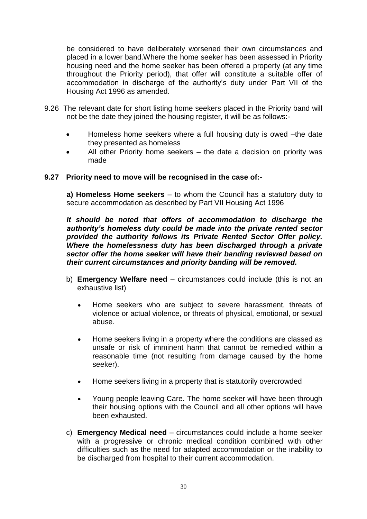be considered to have deliberately worsened their own circumstances and placed in a lower band.Where the home seeker has been assessed in Priority housing need and the home seeker has been offered a property (at any time throughout the Priority period), that offer will constitute a suitable offer of accommodation in discharge of the authority's duty under Part VII of the Housing Act 1996 as amended.

- 9.26 The relevant date for short listing home seekers placed in the Priority band will not be the date they joined the housing register, it will be as follows:-
	- Homeless home seekers where a full housing duty is owed –the date they presented as homeless
	- All other Priority home seekers the date a decision on priority was made

#### **9.27 Priority need to move will be recognised in the case of:-**

**a) Homeless Home seekers** – to whom the Council has a statutory duty to secure accommodation as described by Part VII Housing Act 1996

*It should be noted that offers of accommodation to discharge the authority's homeless duty could be made into the private rented sector provided the authority follows its Private Rented Sector Offer policy. Where the homelessness duty has been discharged through a private sector offer the home seeker will have their banding reviewed based on their current circumstances and priority banding will be removed.*

- b) **Emergency Welfare need** circumstances could include (this is not an exhaustive list)
	- Home seekers who are subject to severe harassment, threats of violence or actual violence, or threats of physical, emotional, or sexual abuse.
	- Home seekers living in a property where the conditions are classed as unsafe or risk of imminent harm that cannot be remedied within a reasonable time (not resulting from damage caused by the home seeker).
	- Home seekers living in a property that is statutorily overcrowded
	- Young people leaving Care. The home seeker will have been through their housing options with the Council and all other options will have been exhausted.
- c) **Emergency Medical need** circumstances could include a home seeker with a progressive or chronic medical condition combined with other difficulties such as the need for adapted accommodation or the inability to be discharged from hospital to their current accommodation.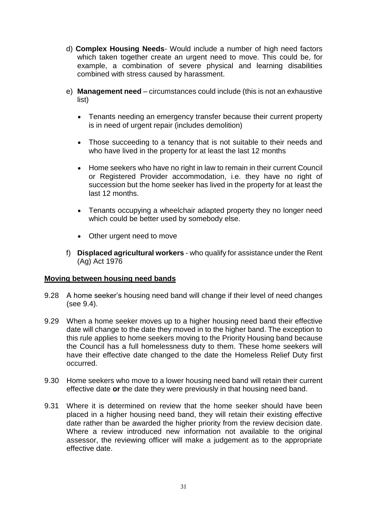- d) **Complex Housing Needs** Would include a number of high need factors which taken together create an urgent need to move. This could be, for example, a combination of severe physical and learning disabilities combined with stress caused by harassment.
- e) **Management need** circumstances could include (this is not an exhaustive list)
	- Tenants needing an emergency transfer because their current property is in need of urgent repair (includes demolition)
	- Those succeeding to a tenancy that is not suitable to their needs and who have lived in the property for at least the last 12 months
	- Home seekers who have no right in law to remain in their current Council or Registered Provider accommodation, i.e. they have no right of succession but the home seeker has lived in the property for at least the last 12 months.
	- Tenants occupying a wheelchair adapted property they no longer need which could be better used by somebody else.
	- Other urgent need to move
- f) **Displaced agricultural workers** who qualify for assistance under the Rent (Ag) Act 1976

## <span id="page-30-0"></span>**Moving between housing need bands**

- 9.28 A home seeker's housing need band will change if their level of need changes (see 9.4).
- 9.29 When a home seeker moves up to a higher housing need band their effective date will change to the date they moved in to the higher band. The exception to this rule applies to home seekers moving to the Priority Housing band because the Council has a full homelessness duty to them. These home seekers will have their effective date changed to the date the Homeless Relief Duty first occurred.
- 9.30 Home seekers who move to a lower housing need band will retain their current effective date **or** the date they were previously in that housing need band.
- 9.31 Where it is determined on review that the home seeker should have been placed in a higher housing need band, they will retain their existing effective date rather than be awarded the higher priority from the review decision date. Where a review introduced new information not available to the original assessor, the reviewing officer will make a judgement as to the appropriate effective date.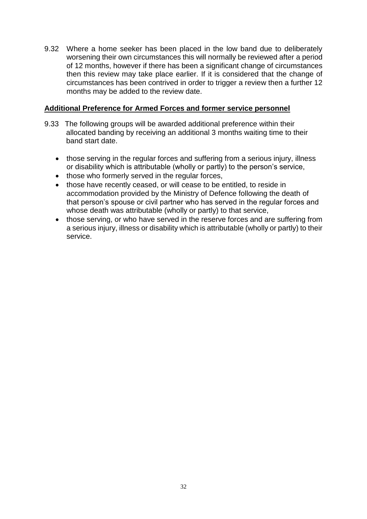9.32 Where a home seeker has been placed in the low band due to deliberately worsening their own circumstances this will normally be reviewed after a period of 12 months, however if there has been a significant change of circumstances then this review may take place earlier. If it is considered that the change of circumstances has been contrived in order to trigger a review then a further 12 months may be added to the review date.

# <span id="page-31-0"></span>**Additional Preference for Armed Forces and former service personnel**

- 9.33 The following groups will be awarded additional preference within their allocated banding by receiving an additional 3 months waiting time to their band start date.
	- those serving in the regular forces and suffering from a serious injury, illness or disability which is attributable (wholly or partly) to the person's service,
	- those who formerly served in the regular forces,
	- those have recently ceased, or will cease to be entitled, to reside in accommodation provided by the Ministry of Defence following the death of that person's spouse or civil partner who has served in the regular forces and whose death was attributable (wholly or partly) to that service,
	- those serving, or who have served in the reserve forces and are suffering from a serious injury, illness or disability which is attributable (wholly or partly) to their service.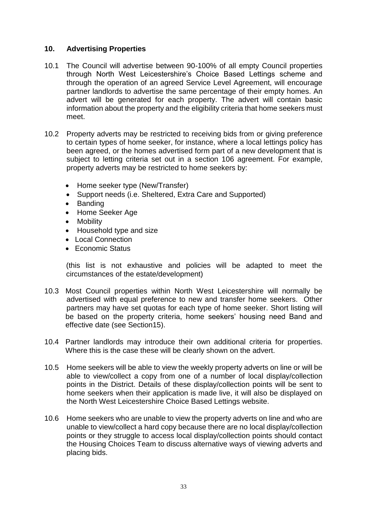# <span id="page-32-0"></span>**10. Advertising Properties**

- 10.1 The Council will advertise between 90-100% of all empty Council properties through North West Leicestershire's Choice Based Lettings scheme and through the operation of an agreed Service Level Agreement, will encourage partner landlords to advertise the same percentage of their empty homes. An advert will be generated for each property. The advert will contain basic information about the property and the eligibility criteria that home seekers must meet.
- 10.2 Property adverts may be restricted to receiving bids from or giving preference to certain types of home seeker, for instance, where a local lettings policy has been agreed, or the homes advertised form part of a new development that is subject to letting criteria set out in a section 106 agreement. For example, property adverts may be restricted to home seekers by:
	- Home seeker type (New/Transfer)
	- Support needs (i.e. Sheltered, Extra Care and Supported)
	- Banding
	- Home Seeker Age
	- Mobility
	- Household type and size
	- Local Connection
	- Fconomic Status

(this list is not exhaustive and policies will be adapted to meet the circumstances of the estate/development)

- 10.3 Most Council properties within North West Leicestershire will normally be advertised with equal preference to new and transfer home seekers. Other partners may have set quotas for each type of home seeker. Short listing will be based on the property criteria, home seekers' housing need Band and effective date (see Section15).
- 10.4 Partner landlords may introduce their own additional criteria for properties. Where this is the case these will be clearly shown on the advert.
- 10.5 Home seekers will be able to view the weekly property adverts on line or will be able to view/collect a copy from one of a number of local display/collection points in the District. Details of these display/collection points will be sent to home seekers when their application is made live, it will also be displayed on the North West Leicestershire Choice Based Lettings website.
- 10.6 Home seekers who are unable to view the property adverts on line and who are unable to view/collect a hard copy because there are no local display/collection points or they struggle to access local display/collection points should contact the Housing Choices Team to discuss alternative ways of viewing adverts and placing bids.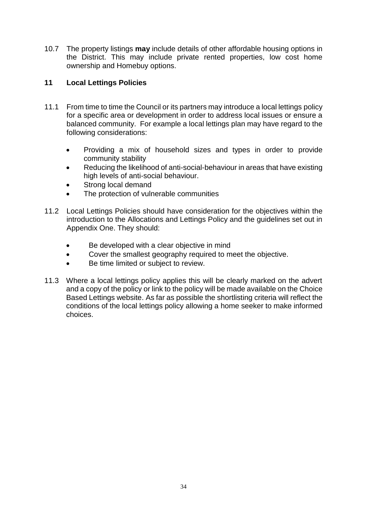10.7 The property listings **may** include details of other affordable housing options in the District. This may include private rented properties, low cost home ownership and Homebuy options.

# <span id="page-33-0"></span>**11 Local Lettings Policies**

- 11.1 From time to time the Council or its partners may introduce a local lettings policy for a specific area or development in order to address local issues or ensure a balanced community. For example a local lettings plan may have regard to the following considerations:
	- Providing a mix of household sizes and types in order to provide community stability
	- Reducing the likelihood of anti-social-behaviour in areas that have existing high levels of anti-social behaviour.
	- Strong local demand
	- The protection of vulnerable communities
- 11.2 Local Lettings Policies should have consideration for the objectives within the introduction to the Allocations and Lettings Policy and the guidelines set out in Appendix One. They should:
	- Be developed with a clear objective in mind
	- Cover the smallest geography required to meet the objective.
	- Be time limited or subject to review.
- 11.3 Where a local lettings policy applies this will be clearly marked on the advert and a copy of the policy or link to the policy will be made available on the Choice Based Lettings website. As far as possible the shortlisting criteria will reflect the conditions of the local lettings policy allowing a home seeker to make informed choices.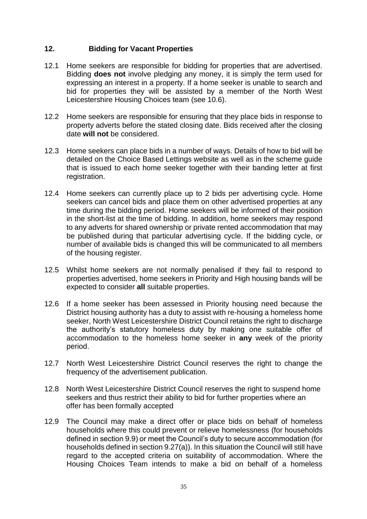# <span id="page-34-0"></span>**12. Bidding for Vacant Properties**

- 12.1 Home seekers are responsible for bidding for properties that are advertised. Bidding **does not** involve pledging any money, it is simply the term used for expressing an interest in a property. If a home seeker is unable to search and bid for properties they will be assisted by a member of the North West Leicestershire Housing Choices team (see 10.6).
- 12.2 Home seekers are responsible for ensuring that they place bids in response to property adverts before the stated closing date. Bids received after the closing date **will not** be considered.
- 12.3 Home seekers can place bids in a number of ways. Details of how to bid will be detailed on the Choice Based Lettings website as well as in the scheme guide that is issued to each home seeker together with their banding letter at first registration.
- 12.4 Home seekers can currently place up to 2 bids per advertising cycle. Home seekers can cancel bids and place them on other advertised properties at any time during the bidding period. Home seekers will be informed of their position in the short-list at the time of bidding. In addition, home seekers may respond to any adverts for shared ownership or private rented accommodation that may be published during that particular advertising cycle. If the bidding cycle, or number of available bids is changed this will be communicated to all members of the housing register.
- 12.5 Whilst home seekers are not normally penalised if they fail to respond to properties advertised, home seekers in Priority and High housing bands will be expected to consider **all** suitable properties.
- 12.6 If a home seeker has been assessed in Priority housing need because the District housing authority has a duty to assist with re-housing a homeless home seeker, North West Leicestershire District Council retains the right to discharge the authority's statutory homeless duty by making one suitable offer of accommodation to the homeless home seeker in **any** week of the priority period.
- 12.7 North West Leicestershire District Council reserves the right to change the frequency of the advertisement publication.
- 12.8 North West Leicestershire District Council reserves the right to suspend home seekers and thus restrict their ability to bid for further properties where an offer has been formally accepted
- 12.9 The Council may make a direct offer or place bids on behalf of homeless households where this could prevent or relieve homelessness (for households defined in section 9.9) or meet the Council's duty to secure accommodation (for households defined in section 9.27(a)). In this situation the Council will still have regard to the accepted criteria on suitability of accommodation. Where the Housing Choices Team intends to make a bid on behalf of a homeless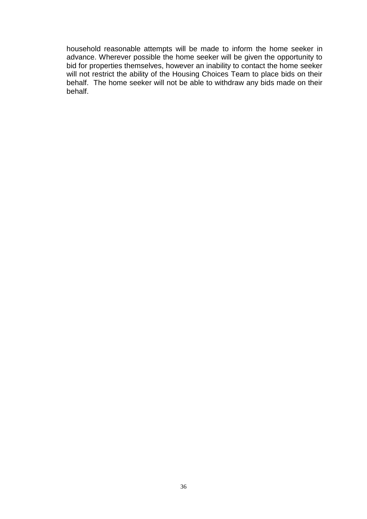household reasonable attempts will be made to inform the home seeker in advance. Wherever possible the home seeker will be given the opportunity to bid for properties themselves, however an inability to contact the home seeker will not restrict the ability of the Housing Choices Team to place bids on their behalf. The home seeker will not be able to withdraw any bids made on their behalf.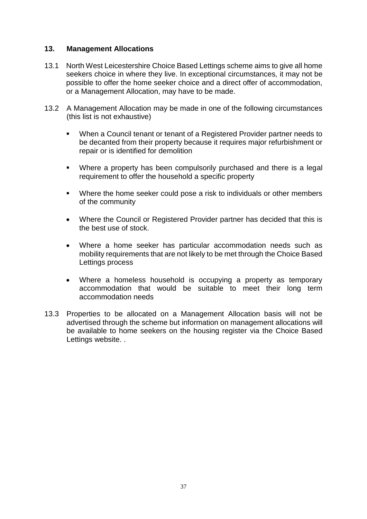## **13. Management Allocations**

- 13.1 North West Leicestershire Choice Based Lettings scheme aims to give all home seekers choice in where they live. In exceptional circumstances, it may not be possible to offer the home seeker choice and a direct offer of accommodation, or a Management Allocation, may have to be made.
- 13.2 A Management Allocation may be made in one of the following circumstances (this list is not exhaustive)
	- When a Council tenant or tenant of a Registered Provider partner needs to be decanted from their property because it requires major refurbishment or repair or is identified for demolition
	- **Where a property has been compulsorily purchased and there is a legal** requirement to offer the household a specific property
	- Where the home seeker could pose a risk to individuals or other members of the community
	- Where the Council or Registered Provider partner has decided that this is the best use of stock.
	- Where a home seeker has particular accommodation needs such as mobility requirements that are not likely to be met through the Choice Based Lettings process
	- Where a homeless household is occupying a property as temporary accommodation that would be suitable to meet their long term accommodation needs
- 13.3 Properties to be allocated on a Management Allocation basis will not be advertised through the scheme but information on management allocations will be available to home seekers on the housing register via the Choice Based Lettings website. .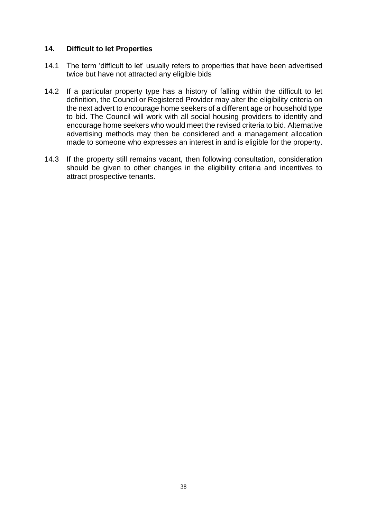## <span id="page-37-0"></span>**14. Difficult to let Properties**

- 14.1 The term 'difficult to let' usually refers to properties that have been advertised twice but have not attracted any eligible bids
- 14.2 If a particular property type has a history of falling within the difficult to let definition, the Council or Registered Provider may alter the eligibility criteria on the next advert to encourage home seekers of a different age or household type to bid. The Council will work with all social housing providers to identify and encourage home seekers who would meet the revised criteria to bid. Alternative advertising methods may then be considered and a management allocation made to someone who expresses an interest in and is eligible for the property.
- 14.3 If the property still remains vacant, then following consultation, consideration should be given to other changes in the eligibility criteria and incentives to attract prospective tenants.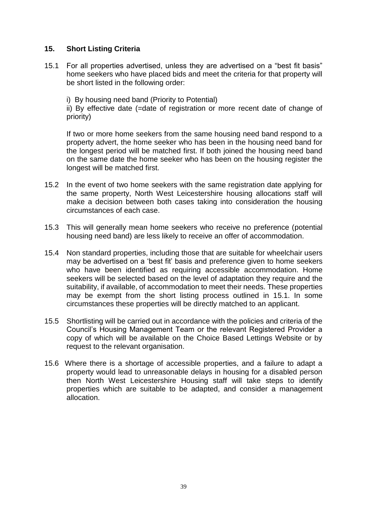# <span id="page-38-0"></span>**15. Short Listing Criteria**

15.1 For all properties advertised, unless they are advertised on a "best fit basis" home seekers who have placed bids and meet the criteria for that property will be short listed in the following order:

i) By housing need band (Priority to Potential)

ii) By effective date (=date of registration or more recent date of change of priority)

If two or more home seekers from the same housing need band respond to a property advert, the home seeker who has been in the housing need band for the longest period will be matched first. If both joined the housing need band on the same date the home seeker who has been on the housing register the longest will be matched first.

- 15.2 In the event of two home seekers with the same registration date applying for the same property, North West Leicestershire housing allocations staff will make a decision between both cases taking into consideration the housing circumstances of each case.
- 15.3 This will generally mean home seekers who receive no preference (potential housing need band) are less likely to receive an offer of accommodation.
- 15.4 Non standard properties, including those that are suitable for wheelchair users may be advertised on a 'best fit' basis and preference given to home seekers who have been identified as requiring accessible accommodation. Home seekers will be selected based on the level of adaptation they require and the suitability, if available, of accommodation to meet their needs. These properties may be exempt from the short listing process outlined in 15.1. In some circumstances these properties will be directly matched to an applicant.
- 15.5 Shortlisting will be carried out in accordance with the policies and criteria of the Council's Housing Management Team or the relevant Registered Provider a copy of which will be available on the Choice Based Lettings Website or by request to the relevant organisation.
- 15.6 Where there is a shortage of accessible properties, and a failure to adapt a property would lead to unreasonable delays in housing for a disabled person then North West Leicestershire Housing staff will take steps to identify properties which are suitable to be adapted, and consider a management allocation.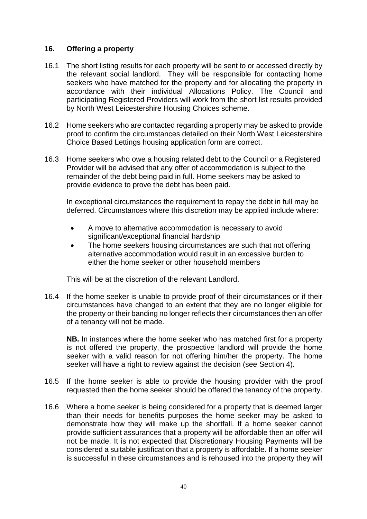## <span id="page-39-0"></span>**16. Offering a property**

- 16.1 The short listing results for each property will be sent to or accessed directly by the relevant social landlord. They will be responsible for contacting home seekers who have matched for the property and for allocating the property in accordance with their individual Allocations Policy. The Council and participating Registered Providers will work from the short list results provided by North West Leicestershire Housing Choices scheme.
- 16.2 Home seekers who are contacted regarding a property may be asked to provide proof to confirm the circumstances detailed on their North West Leicestershire Choice Based Lettings housing application form are correct.
- 16.3 Home seekers who owe a housing related debt to the Council or a Registered Provider will be advised that any offer of accommodation is subject to the remainder of the debt being paid in full. Home seekers may be asked to provide evidence to prove the debt has been paid.

In exceptional circumstances the requirement to repay the debt in full may be deferred. Circumstances where this discretion may be applied include where:

- A move to alternative accommodation is necessary to avoid significant/exceptional financial hardship
- The home seekers housing circumstances are such that not offering alternative accommodation would result in an excessive burden to either the home seeker or other household members

This will be at the discretion of the relevant Landlord.

16.4 If the home seeker is unable to provide proof of their circumstances or if their circumstances have changed to an extent that they are no longer eligible for the property or their banding no longer reflects their circumstances then an offer of a tenancy will not be made.

**NB.** In instances where the home seeker who has matched first for a property is not offered the property, the prospective landlord will provide the home seeker with a valid reason for not offering him/her the property. The home seeker will have a right to review against the decision (see Section 4).

- 16.5 If the home seeker is able to provide the housing provider with the proof requested then the home seeker should be offered the tenancy of the property.
- 16.6 Where a home seeker is being considered for a property that is deemed larger than their needs for benefits purposes the home seeker may be asked to demonstrate how they will make up the shortfall. If a home seeker cannot provide sufficient assurances that a property will be affordable then an offer will not be made. It is not expected that Discretionary Housing Payments will be considered a suitable justification that a property is affordable. If a home seeker is successful in these circumstances and is rehoused into the property they will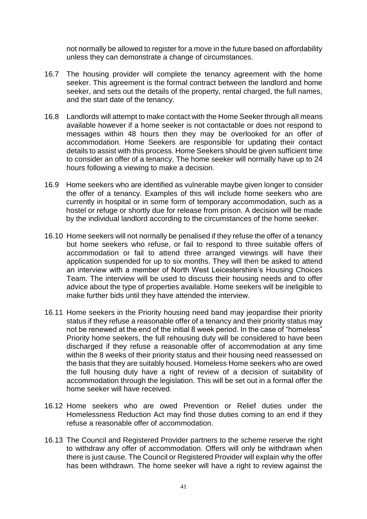not normally be allowed to register for a move in the future based on affordability unless they can demonstrate a change of circumstances.

- 16.7 The housing provider will complete the tenancy agreement with the home seeker. This agreement is the formal contract between the landlord and home seeker, and sets out the details of the property, rental charged, the full names, and the start date of the tenancy.
- 16.8 Landlords will attempt to make contact with the Home Seeker through all means available however if a home seeker is not contactable or does not respond to messages within 48 hours then they may be overlooked for an offer of accommodation. Home Seekers are responsible for updating their contact details to assist with this process. Home Seekers should be given sufficient time to consider an offer of a tenancy. The home seeker will normally have up to 24 hours following a viewing to make a decision.
- 16.9 Home seekers who are identified as vulnerable maybe given longer to consider the offer of a tenancy. Examples of this will include home seekers who are currently in hospital or in some form of temporary accommodation, such as a hostel or refuge or shortly due for release from prison. A decision will be made by the individual landlord according to the circumstances of the home seeker.
- 16.10 Home seekers will not normally be penalised if they refuse the offer of a tenancy but home seekers who refuse, or fail to respond to three suitable offers of accommodation or fail to attend three arranged viewings will have their application suspended for up to six months. They will then be asked to attend an interview with a member of North West Leicestershire's Housing Choices Team. The interview will be used to discuss their housing needs and to offer advice about the type of properties available. Home seekers will be ineligible to make further bids until they have attended the interview.
- 16.11 Home seekers in the Priority housing need band may jeopardise their priority status if they refuse a reasonable offer of a tenancy and their priority status may not be renewed at the end of the initial 8 week period. In the case of "homeless" Priority home seekers, the full rehousing duty will be considered to have been discharged if they refuse a reasonable offer of accommodation at any time within the 8 weeks of their priority status and their housing need reassessed on the basis that they are suitably housed. Homeless Home seekers who are owed the full housing duty have a right of review of a decision of suitability of accommodation through the legislation. This will be set out in a formal offer the home seeker will have received.
- 16.12 Home seekers who are owed Prevention or Relief duties under the Homelessness Reduction Act may find those duties coming to an end if they refuse a reasonable offer of accommodation.
- 16.13 The Council and Registered Provider partners to the scheme reserve the right to withdraw any offer of accommodation. Offers will only be withdrawn when there is just cause. The Council or Registered Provider will explain why the offer has been withdrawn. The home seeker will have a right to review against the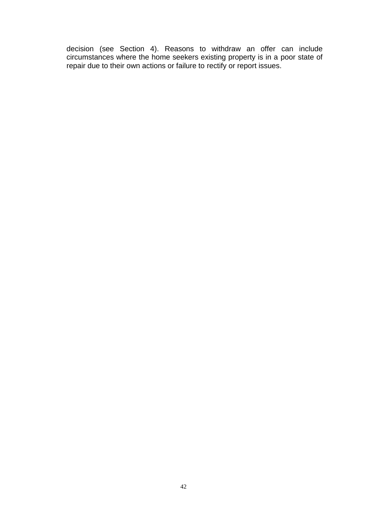decision (see Section 4). Reasons to withdraw an offer can include circumstances where the home seekers existing property is in a poor state of repair due to their own actions or failure to rectify or report issues.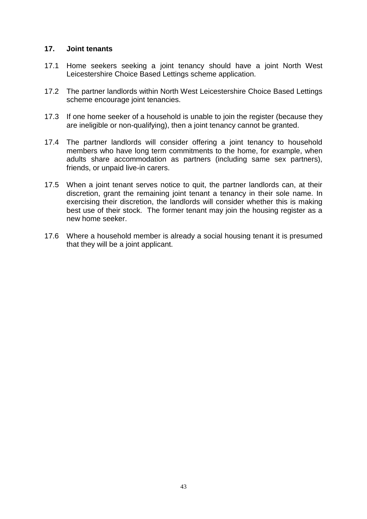#### <span id="page-42-0"></span>**17. Joint tenants**

- 17.1 Home seekers seeking a joint tenancy should have a joint North West Leicestershire Choice Based Lettings scheme application.
- 17.2 The partner landlords within North West Leicestershire Choice Based Lettings scheme encourage joint tenancies.
- 17.3 If one home seeker of a household is unable to join the register (because they are ineligible or non-qualifying), then a joint tenancy cannot be granted.
- 17.4 The partner landlords will consider offering a joint tenancy to household members who have long term commitments to the home, for example, when adults share accommodation as partners (including same sex partners), friends, or unpaid live-in carers.
- 17.5 When a joint tenant serves notice to quit, the partner landlords can, at their discretion, grant the remaining joint tenant a tenancy in their sole name. In exercising their discretion, the landlords will consider whether this is making best use of their stock. The former tenant may join the housing register as a new home seeker.
- 17.6 Where a household member is already a social housing tenant it is presumed that they will be a joint applicant.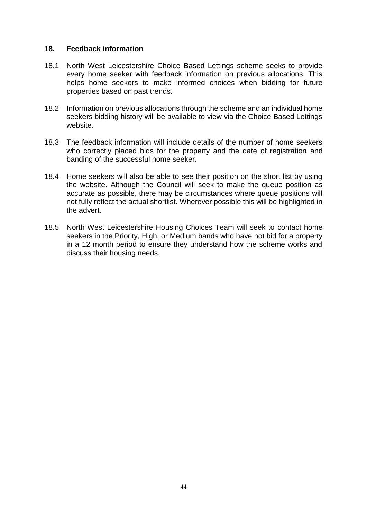#### <span id="page-43-0"></span>**18. Feedback information**

- 18.1 North West Leicestershire Choice Based Lettings scheme seeks to provide every home seeker with feedback information on previous allocations. This helps home seekers to make informed choices when bidding for future properties based on past trends.
- 18.2 Information on previous allocations through the scheme and an individual home seekers bidding history will be available to view via the Choice Based Lettings website.
- 18.3 The feedback information will include details of the number of home seekers who correctly placed bids for the property and the date of registration and banding of the successful home seeker.
- 18.4 Home seekers will also be able to see their position on the short list by using the website. Although the Council will seek to make the queue position as accurate as possible, there may be circumstances where queue positions will not fully reflect the actual shortlist. Wherever possible this will be highlighted in the advert.
- 18.5 North West Leicestershire Housing Choices Team will seek to contact home seekers in the Priority, High, or Medium bands who have not bid for a property in a 12 month period to ensure they understand how the scheme works and discuss their housing needs.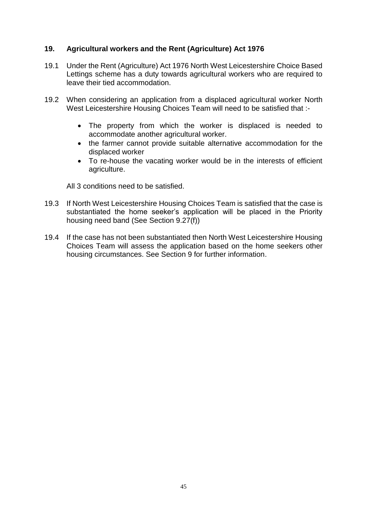# <span id="page-44-0"></span>**19. Agricultural workers and the Rent (Agriculture) Act 1976**

- 19.1 Under the Rent (Agriculture) Act 1976 North West Leicestershire Choice Based Lettings scheme has a duty towards agricultural workers who are required to leave their tied accommodation.
- 19.2 When considering an application from a displaced agricultural worker North West Leicestershire Housing Choices Team will need to be satisfied that :-
	- The property from which the worker is displaced is needed to accommodate another agricultural worker.
	- the farmer cannot provide suitable alternative accommodation for the displaced worker
	- To re-house the vacating worker would be in the interests of efficient agriculture.

All 3 conditions need to be satisfied.

- 19.3 If North West Leicestershire Housing Choices Team is satisfied that the case is substantiated the home seeker's application will be placed in the Priority housing need band (See Section 9.27(f))
- 19.4 If the case has not been substantiated then North West Leicestershire Housing Choices Team will assess the application based on the home seekers other housing circumstances. See Section 9 for further information.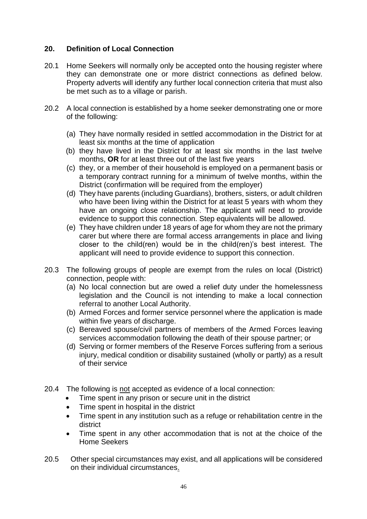# <span id="page-45-0"></span>**20. Definition of Local Connection**

- 20.1 Home Seekers will normally only be accepted onto the housing register where they can demonstrate one or more district connections as defined below. Property adverts will identify any further local connection criteria that must also be met such as to a village or parish.
- 20.2 A local connection is established by a home seeker demonstrating one or more of the following:
	- (a) They have normally resided in settled accommodation in the District for at least six months at the time of application
	- (b) they have lived in the District for at least six months in the last twelve months, **OR** for at least three out of the last five years
	- (c) they, or a member of their household is employed on a permanent basis or a temporary contract running for a minimum of twelve months, within the District (confirmation will be required from the employer)
	- (d) They have parents (including Guardians), brothers, sisters, or adult children who have been living within the District for at least 5 years with whom they have an ongoing close relationship. The applicant will need to provide evidence to support this connection. Step equivalents will be allowed.
	- (e) They have children under 18 years of age for whom they are not the primary carer but where there are formal access arrangements in place and living closer to the child(ren) would be in the child(ren)'s best interest. The applicant will need to provide evidence to support this connection.
- 20.3 The following groups of people are exempt from the rules on local (District) connection, people with:
	- (a) No local connection but are owed a relief duty under the homelessness legislation and the Council is not intending to make a local connection referral to another Local Authority.
	- (b) Armed Forces and former service personnel where the application is made within five years of discharge.
	- (c) Bereaved spouse/civil partners of members of the Armed Forces leaving services accommodation following the death of their spouse partner; or
	- (d) Serving or former members of the Reserve Forces suffering from a serious injury, medical condition or disability sustained (wholly or partly) as a result of their service
- 20.4 The following is not accepted as evidence of a local connection:
	- Time spent in any prison or secure unit in the district
		- Time spent in hospital in the district
	- Time spent in any institution such as a refuge or rehabilitation centre in the district
	- Time spent in any other accommodation that is not at the choice of the Home Seekers
- 20.5 Other special circumstances may exist, and all applications will be considered on their individual circumstances.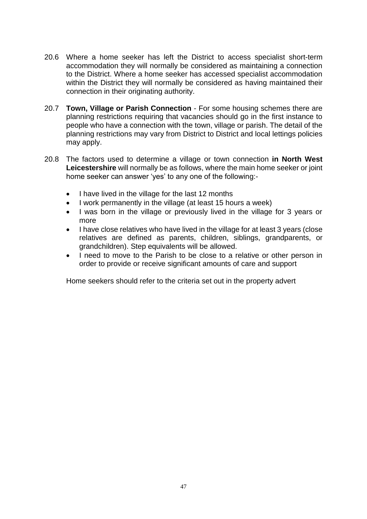- 20.6 Where a home seeker has left the District to access specialist short-term accommodation they will normally be considered as maintaining a connection to the District. Where a home seeker has accessed specialist accommodation within the District they will normally be considered as having maintained their connection in their originating authority.
- 20.7 **Town, Village or Parish Connection** For some housing schemes there are planning restrictions requiring that vacancies should go in the first instance to people who have a connection with the town, village or parish. The detail of the planning restrictions may vary from District to District and local lettings policies may apply.
- 20.8 The factors used to determine a village or town connection **in North West Leicestershire** will normally be as follows, where the main home seeker or joint home seeker can answer 'yes' to any one of the following:-
	- I have lived in the village for the last 12 months
	- I work permanently in the village (at least 15 hours a week)
	- I was born in the village or previously lived in the village for 3 years or more
	- I have close relatives who have lived in the village for at least 3 years (close relatives are defined as parents, children, siblings, grandparents, or grandchildren). Step equivalents will be allowed.
	- I need to move to the Parish to be close to a relative or other person in order to provide or receive significant amounts of care and support

Home seekers should refer to the criteria set out in the property advert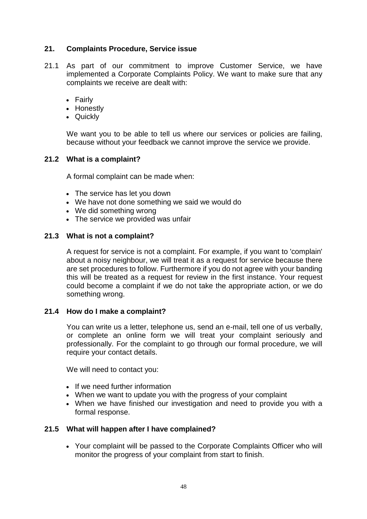# <span id="page-47-0"></span>**21. Complaints Procedure, Service issue**

- 21.1 As part of our commitment to improve Customer Service, we have implemented a Corporate Complaints Policy. We want to make sure that any complaints we receive are dealt with:
	- Fairly
	- Honestly
	- Quickly

We want you to be able to tell us where our services or policies are failing, because without your feedback we cannot improve the service we provide.

## **21.2 What is a complaint?**

A formal complaint can be made when:

- The service has let you down
- We have not done something we said we would do
- We did something wrong
- The service we provided was unfair

# **21.3 What is not a complaint?**

A request for service is not a complaint. For example, if you want to 'complain' about a noisy neighbour, we will treat it as a request for service because there are set procedures to follow. Furthermore if you do not agree with your banding this will be treated as a request for review in the first instance. Your request could become a complaint if we do not take the appropriate action, or we do something wrong.

## **21.4 How do I make a complaint?**

You can write us a letter, telephone us, send an e-mail, tell one of us verbally, or complete an online form we will treat your complaint seriously and professionally. For the complaint to go through our formal procedure, we will require your contact details.

We will need to contact you:

- If we need further information
- When we want to update you with the progress of your complaint
- When we have finished our investigation and need to provide you with a formal response.

## **21.5 What will happen after I have complained?**

 Your complaint will be passed to the Corporate Complaints Officer who will monitor the progress of your complaint from start to finish.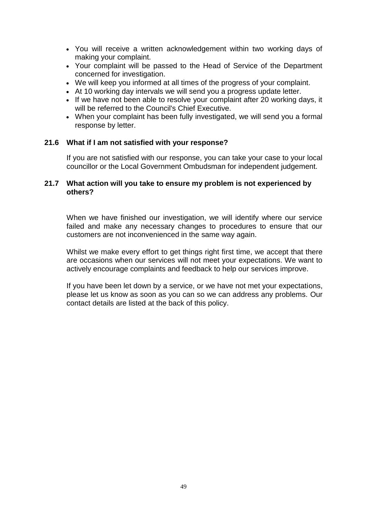- You will receive a written acknowledgement within two working days of making your complaint.
- Your complaint will be passed to the Head of Service of the Department concerned for investigation.
- We will keep you informed at all times of the progress of your complaint.
- At 10 working day intervals we will send you a progress update letter.
- If we have not been able to resolve your complaint after 20 working days, it will be referred to the Council's Chief Executive.
- When your complaint has been fully investigated, we will send you a formal response by letter.

## **21.6 What if I am not satisfied with your response?**

If you are not satisfied with our response, you can take your case to your local councillor or the Local Government Ombudsman for independent judgement.

#### **21.7 What action will you take to ensure my problem is not experienced by others?**

When we have finished our investigation, we will identify where our service failed and make any necessary changes to procedures to ensure that our customers are not inconvenienced in the same way again.

Whilst we make every effort to get things right first time, we accept that there are occasions when our services will not meet your expectations. We want to actively encourage complaints and feedback to help our services improve.

If you have been let down by a service, or we have not met your expectations, please let us know as soon as you can so we can address any problems. Our contact details are listed at the back of this policy.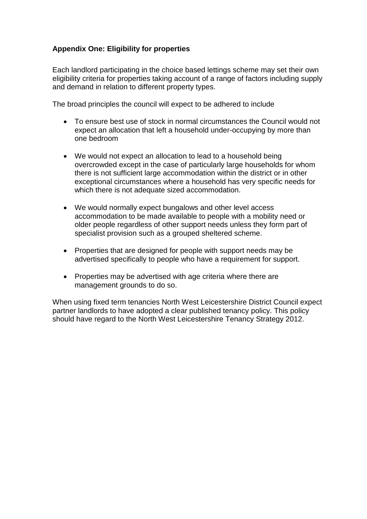# <span id="page-49-0"></span>**Appendix One: Eligibility for properties**

Each landlord participating in the choice based lettings scheme may set their own eligibility criteria for properties taking account of a range of factors including supply and demand in relation to different property types.

The broad principles the council will expect to be adhered to include

- To ensure best use of stock in normal circumstances the Council would not expect an allocation that left a household under-occupying by more than one bedroom
- We would not expect an allocation to lead to a household being overcrowded except in the case of particularly large households for whom there is not sufficient large accommodation within the district or in other exceptional circumstances where a household has very specific needs for which there is not adequate sized accommodation.
- We would normally expect bungalows and other level access accommodation to be made available to people with a mobility need or older people regardless of other support needs unless they form part of specialist provision such as a grouped sheltered scheme.
- Properties that are designed for people with support needs may be advertised specifically to people who have a requirement for support.
- Properties may be advertised with age criteria where there are management grounds to do so.

When using fixed term tenancies North West Leicestershire District Council expect partner landlords to have adopted a clear published tenancy policy. This policy should have regard to the North West Leicestershire Tenancy Strategy 2012.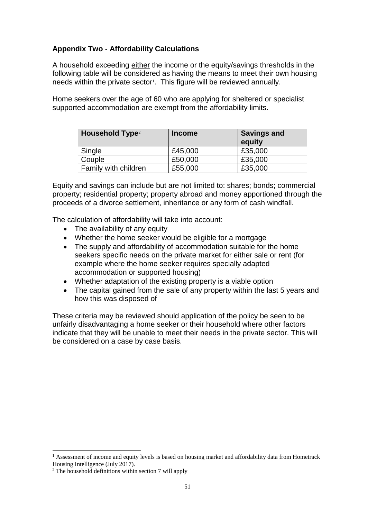# <span id="page-50-0"></span>**Appendix Two - Affordability Calculations**

A household exceeding either the income or the equity/savings thresholds in the following table will be considered as having the means to meet their own housing needs within the private sector<sup>1</sup>. This figure will be reviewed annually.

Home seekers over the age of 60 who are applying for sheltered or specialist supported accommodation are exempt from the affordability limits.

| <b>Household Type<sup>2</sup></b> | <b>Income</b> | <b>Savings and</b><br>equity |
|-----------------------------------|---------------|------------------------------|
| Single                            | £45,000       | £35,000                      |
| Couple                            | £50,000       | £35,000                      |
| Family with children              | £55,000       | £35,000                      |

Equity and savings can include but are not limited to: shares; bonds; commercial property; residential property; property abroad and money apportioned through the proceeds of a divorce settlement, inheritance or any form of cash windfall.

The calculation of affordability will take into account:

- The availability of any equity
- Whether the home seeker would be eligible for a mortgage
- The supply and affordability of accommodation suitable for the home seekers specific needs on the private market for either sale or rent (for example where the home seeker requires specially adapted accommodation or supported housing)
- Whether adaptation of the existing property is a viable option
- The capital gained from the sale of any property within the last 5 years and how this was disposed of

These criteria may be reviewed should application of the policy be seen to be unfairly disadvantaging a home seeker or their household where other factors indicate that they will be unable to meet their needs in the private sector. This will be considered on a case by case basis.

 $\overline{a}$ 

<sup>&</sup>lt;sup>1</sup> Assessment of income and equity levels is based on housing market and affordability data from Hometrack Housing Intelligence (July 2017).

 $2$  The household definitions within section 7 will apply